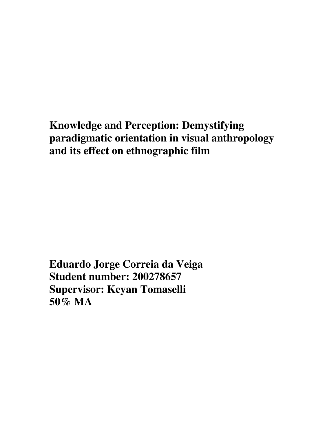# **Knowledge and Perception: Demystifying paradigmatic orientation in visual anthropology and its effect on ethnographic film**

**Eduardo Jorge Correia da Veiga Student number: 200278657 Supervisor: Keyan Tomaselli 50% MA**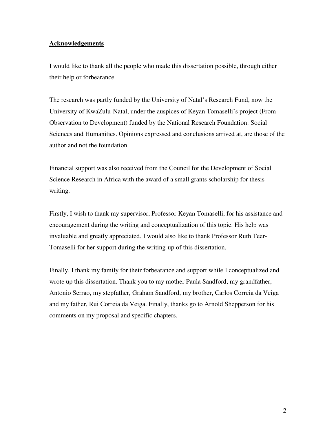#### **Acknowledgements**

I would like to thank all the people who made this dissertation possible, through either their help or forbearance.

The research was partly funded by the University of Natal's Research Fund, now the University of KwaZulu-Natal, under the auspices of Keyan Tomaselli's project (From Observation to Development) funded by the National Research Foundation: Social Sciences and Humanities. Opinions expressed and conclusions arrived at, are those of the author and not the foundation.

Financial support was also received from the Council for the Development of Social Science Research in Africa with the award of a small grants scholarship for thesis writing.

Firstly, I wish to thank my supervisor, Professor Keyan Tomaselli, for his assistance and encouragement during the writing and conceptualization of this topic. His help was invaluable and greatly appreciated. I would also like to thank Professor Ruth Teer-Tomaselli for her support during the writing-up of this dissertation.

Finally, I thank my family for their forbearance and support while I conceptualized and wrote up this dissertation. Thank you to my mother Paula Sandford, my grandfather, Antonio Serrao, my stepfather, Graham Sandford, my brother, Carlos Correia da Veiga and my father, Rui Correia da Veiga. Finally, thanks go to Arnold Shepperson for his comments on my proposal and specific chapters.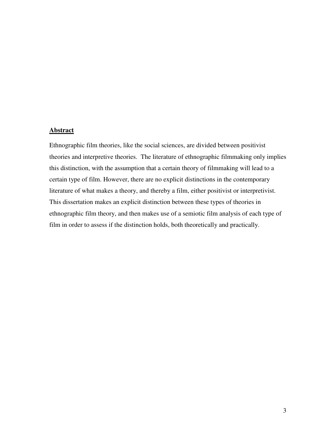#### **Abstract**

Ethnographic film theories, like the social sciences, are divided between positivist theories and interpretive theories. The literature of ethnographic filmmaking only implies this distinction, with the assumption that a certain theory of filmmaking will lead to a certain type of film. However, there are no explicit distinctions in the contemporary literature of what makes a theory, and thereby a film, either positivist or interpretivist. This dissertation makes an explicit distinction between these types of theories in ethnographic film theory, and then makes use of a semiotic film analysis of each type of film in order to assess if the distinction holds, both theoretically and practically.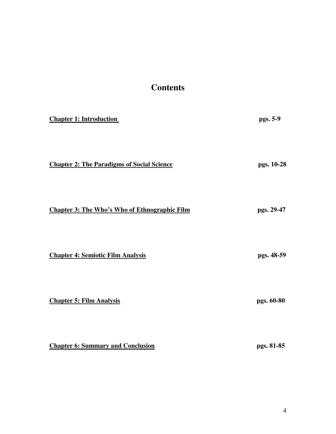### **Contents**

| <b>Chapter 1: Introduction</b>                       | pgs. 5-9   |
|------------------------------------------------------|------------|
| <b>Chapter 2: The Paradigms of Social Science</b>    | pgs. 10-28 |
| <b>Chapter 3: The Who's Who of Ethnographic Film</b> | pgs. 29-47 |
| <b>Chapter 4: Semiotic Film Analysis</b>             | pgs. 48-59 |
| <b>Chapter 5: Film Analysis</b>                      | pgs. 60-80 |
| <b>Chapter 6: Summary and Conclusion</b>             | pgs. 81-85 |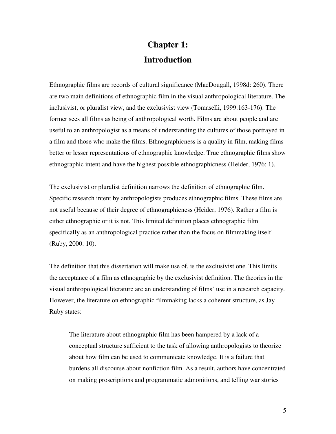## **Chapter 1: Introduction**

Ethnographic films are records of cultural significance (MacDougall, 1998d: 260). There are two main definitions of ethnographic film in the visual anthropological literature. The inclusivist, or pluralist view, and the exclusivist view (Tomaselli, 1999:163-176). The former sees all films as being of anthropological worth. Films are about people and are useful to an anthropologist as a means of understanding the cultures of those portrayed in a film and those who make the films. Ethnographicness is a quality in film, making films better or lesser representations of ethnographic knowledge. True ethnographic films show ethnographic intent and have the highest possible ethnographicness (Heider, 1976: 1).

The exclusivist or pluralist definition narrows the definition of ethnographic film. Specific research intent by anthropologists produces ethnographic films. These films are not useful because of their degree of ethnographicness (Heider, 1976). Rather a film is either ethnographic or it is not. This limited definition places ethnographic film specifically as an anthropological practice rather than the focus on filmmaking itself (Ruby, 2000: 10).

The definition that this dissertation will make use of, is the exclusivist one. This limits the acceptance of a film as ethnographic by the exclusivist definition. The theories in the visual anthropological literature are an understanding of films' use in a research capacity. However, the literature on ethnographic filmmaking lacks a coherent structure, as Jay Ruby states:

The literature about ethnographic film has been hampered by a lack of a conceptual structure sufficient to the task of allowing anthropologists to theorize about how film can be used to communicate knowledge. It is a failure that burdens all discourse about nonfiction film. As a result, authors have concentrated on making proscriptions and programmatic admonitions, and telling war stories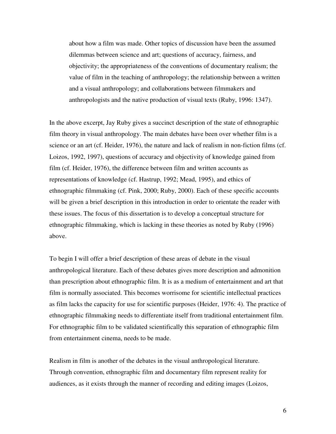about how a film was made. Other topics of discussion have been the assumed dilemmas between science and art; questions of accuracy, fairness, and objectivity; the appropriateness of the conventions of documentary realism; the value of film in the teaching of anthropology; the relationship between a written and a visual anthropology; and collaborations between filmmakers and anthropologists and the native production of visual texts (Ruby, 1996: 1347).

In the above excerpt, Jay Ruby gives a succinct description of the state of ethnographic film theory in visual anthropology. The main debates have been over whether film is a science or an art (cf. Heider, 1976), the nature and lack of realism in non-fiction films (cf. Loizos, 1992, 1997), questions of accuracy and objectivity of knowledge gained from film (cf. Heider, 1976), the difference between film and written accounts as representations of knowledge (cf. Hastrup, 1992; Mead, 1995), and ethics of ethnographic filmmaking (cf. Pink, 2000; Ruby, 2000). Each of these specific accounts will be given a brief description in this introduction in order to orientate the reader with these issues. The focus of this dissertation is to develop a conceptual structure for ethnographic filmmaking, which is lacking in these theories as noted by Ruby (1996) above.

To begin I will offer a brief description of these areas of debate in the visual anthropological literature. Each of these debates gives more description and admonition than prescription about ethnographic film. It is as a medium of entertainment and art that film is normally associated. This becomes worrisome for scientific intellectual practices as film lacks the capacity for use for scientific purposes (Heider, 1976: 4). The practice of ethnographic filmmaking needs to differentiate itself from traditional entertainment film. For ethnographic film to be validated scientifically this separation of ethnographic film from entertainment cinema, needs to be made.

Realism in film is another of the debates in the visual anthropological literature. Through convention, ethnographic film and documentary film represent reality for audiences, as it exists through the manner of recording and editing images (Loizos,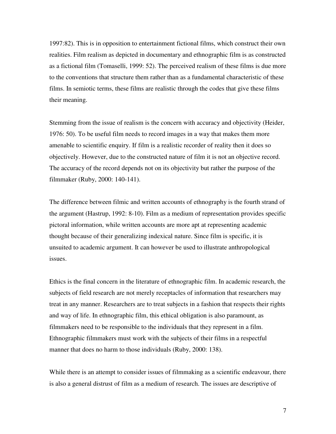1997:82). This is in opposition to entertainment fictional films, which construct their own realities. Film realism as depicted in documentary and ethnographic film is as constructed as a fictional film (Tomaselli, 1999: 52). The perceived realism of these films is due more to the conventions that structure them rather than as a fundamental characteristic of these films. In semiotic terms, these films are realistic through the codes that give these films their meaning.

Stemming from the issue of realism is the concern with accuracy and objectivity (Heider, 1976: 50). To be useful film needs to record images in a way that makes them more amenable to scientific enquiry. If film is a realistic recorder of reality then it does so objectively. However, due to the constructed nature of film it is not an objective record. The accuracy of the record depends not on its objectivity but rather the purpose of the filmmaker (Ruby, 2000: 140-141).

The difference between filmic and written accounts of ethnography is the fourth strand of the argument (Hastrup, 1992: 8-10). Film as a medium of representation provides specific pictoral information, while written accounts are more apt at representing academic thought because of their generalizing indexical nature. Since film is specific, it is unsuited to academic argument. It can however be used to illustrate anthropological issues.

Ethics is the final concern in the literature of ethnographic film. In academic research, the subjects of field research are not merely receptacles of information that researchers may treat in any manner. Researchers are to treat subjects in a fashion that respects their rights and way of life. In ethnographic film, this ethical obligation is also paramount, as filmmakers need to be responsible to the individuals that they represent in a film. Ethnographic filmmakers must work with the subjects of their films in a respectful manner that does no harm to those individuals (Ruby, 2000: 138).

While there is an attempt to consider issues of filmmaking as a scientific endeavour, there is also a general distrust of film as a medium of research. The issues are descriptive of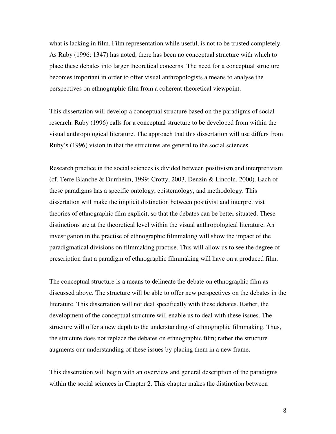what is lacking in film. Film representation while useful, is not to be trusted completely. As Ruby (1996: 1347) has noted, there has been no conceptual structure with which to place these debates into larger theoretical concerns. The need for a conceptual structure becomes important in order to offer visual anthropologists a means to analyse the perspectives on ethnographic film from a coherent theoretical viewpoint.

This dissertation will develop a conceptual structure based on the paradigms of social research. Ruby (1996) calls for a conceptual structure to be developed from within the visual anthropological literature. The approach that this dissertation will use differs from Ruby's (1996) vision in that the structures are general to the social sciences.

Research practice in the social sciences is divided between positivism and interpretivism (cf. Terre Blanche & Durrheim, 1999; Crotty, 2003, Denzin & Lincoln, 2000). Each of these paradigms has a specific ontology, epistemology, and methodology. This dissertation will make the implicit distinction between positivist and interpretivist theories of ethnographic film explicit, so that the debates can be better situated. These distinctions are at the theoretical level within the visual anthropological literature. An investigation in the practise of ethnographic filmmaking will show the impact of the paradigmatical divisions on filmmaking practise. This will allow us to see the degree of prescription that a paradigm of ethnographic filmmaking will have on a produced film.

The conceptual structure is a means to delineate the debate on ethnographic film as discussed above. The structure will be able to offer new perspectives on the debates in the literature. This dissertation will not deal specifically with these debates. Rather, the development of the conceptual structure will enable us to deal with these issues. The structure will offer a new depth to the understanding of ethnographic filmmaking. Thus, the structure does not replace the debates on ethnographic film; rather the structure augments our understanding of these issues by placing them in a new frame.

This dissertation will begin with an overview and general description of the paradigms within the social sciences in Chapter 2. This chapter makes the distinction between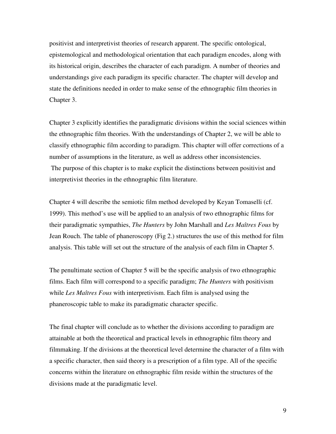positivist and interpretivist theories of research apparent. The specific ontological, epistemological and methodological orientation that each paradigm encodes, along with its historical origin, describes the character of each paradigm. A number of theories and understandings give each paradigm its specific character. The chapter will develop and state the definitions needed in order to make sense of the ethnographic film theories in Chapter 3.

Chapter 3 explicitly identifies the paradigmatic divisions within the social sciences within the ethnographic film theories. With the understandings of Chapter 2, we will be able to classify ethnographic film according to paradigm. This chapter will offer corrections of a number of assumptions in the literature, as well as address other inconsistencies. The purpose of this chapter is to make explicit the distinctions between positivist and interpretivist theories in the ethnographic film literature.

Chapter 4 will describe the semiotic film method developed by Keyan Tomaselli (cf. 1999). This method's use will be applied to an analysis of two ethnographic films for their paradigmatic sympathies, *The Hunters* by John Marshall and *Les Maîtres Fous* by Jean Rouch. The table of phaneroscopy (Fig 2.) structures the use of this method for film analysis. This table will set out the structure of the analysis of each film in Chapter 5.

The penultimate section of Chapter 5 will be the specific analysis of two ethnographic films. Each film will correspond to a specific paradigm; *The Hunters* with positivism while *Les Maîtres Fous* with interpretivism. Each film is analysed using the phaneroscopic table to make its paradigmatic character specific.

The final chapter will conclude as to whether the divisions according to paradigm are attainable at both the theoretical and practical levels in ethnographic film theory and filmmaking. If the divisions at the theoretical level determine the character of a film with a specific character, then said theory is a prescription of a film type. All of the specific concerns within the literature on ethnographic film reside within the structures of the divisions made at the paradigmatic level.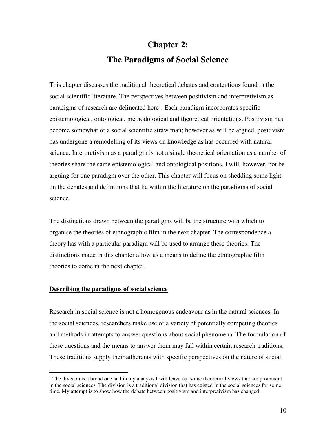# **Chapter 2: The Paradigms of Social Science**

This chapter discusses the traditional theoretical debates and contentions found in the social scientific literature. The perspectives between positivism and interpretivism as paradigms of research are delineated here<sup>1</sup>. Each paradigm incorporates specific epistemological, ontological, methodological and theoretical orientations. Positivism has become somewhat of a social scientific straw man; however as will be argued, positivism has undergone a remodelling of its views on knowledge as has occurred with natural science. Interpretivism as a paradigm is not a single theoretical orientation as a number of theories share the same epistemological and ontological positions. I will, however, not be arguing for one paradigm over the other. This chapter will focus on shedding some light on the debates and definitions that lie within the literature on the paradigms of social science.

The distinctions drawn between the paradigms will be the structure with which to organise the theories of ethnographic film in the next chapter. The correspondence a theory has with a particular paradigm will be used to arrange these theories. The distinctions made in this chapter allow us a means to define the ethnographic film theories to come in the next chapter.

#### **Describing the paradigms of social science**

 $\overline{a}$ 

Research in social science is not a homogenous endeavour as in the natural sciences. In the social sciences, researchers make use of a variety of potentially competing theories and methods in attempts to answer questions about social phenomena. The formulation of these questions and the means to answer them may fall within certain research traditions. These traditions supply their adherents with specific perspectives on the nature of social

 $<sup>1</sup>$  The division is a broad one and in my analysis I will leave out some theoretical views that are prominent</sup> in the social sciences. The division is a traditional division that has existed in the social sciences for some time. My attempt is to show how the debate between positivism and interpretivism has changed.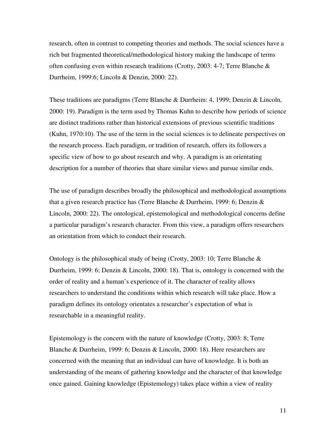research, often in contrast to competing theories and methods. The social sciences have a rich but fragmented theoretical/methodological history making the landscape of terms often confusing even within research traditions (Crotty, 2003: 4-7; Terre Blanche & Durrheim, 1999:6; Lincoln & Denzin, 2000: 22).

These traditions are paradigms (Terre Blanche & Durrheim: 4, 1999; Denzin & Lincoln, 2000: 19). Paradigm is the term used by Thomas Kuhn to describe how periods of science are distinct traditions rather than historical extensions of previous scientific traditions (Kuhn, 1970:10). The use of the term in the social sciences is to delineate perspectives on the research process. Each paradigm, or tradition of research, offers its followers a specific view of how to go about research and why. A paradigm is an orientating description for a number of theories that share similar views and pursue similar ends.

The use of paradigm describes broadly the philosophical and methodological assumptions that a given research practice has (Terre Blanche & Durrheim, 1999: 6; Denzin & Lincoln, 2000: 22). The ontological, epistemological and methodological concerns define a particular paradigm's research character. From this view, a paradigm offers researchers an orientation from which to conduct their research.

Ontology is the philosophical study of being (Crotty, 2003: 10; Terre Blanche & Durrheim, 1999: 6; Denzin & Lincoln, 2000: 18). That is, ontology is concerned with the order of reality and a human's experience of it. The character of reality allows researchers to understand the conditions within which research will take place. How a paradigm defines its ontology orientates a researcher's expectation of what is researchable in a meaningful reality.

Epistemology is the concern with the nature of knowledge (Crotty, 2003: 8; Terre Blanche & Durrheim, 1999: 6; Denzin & Lincoln, 2000: 18). Here researchers are concerned with the meaning that an individual can have of knowledge. It is both an understanding of the means of gathering knowledge and the character of that knowledge once gained. Gaining knowledge (Epistemology) takes place within a view of reality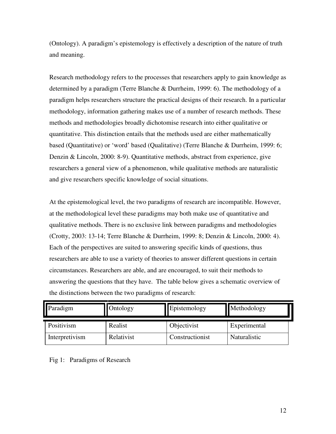(Ontology). A paradigm's epistemology is effectively a description of the nature of truth and meaning.

Research methodology refers to the processes that researchers apply to gain knowledge as determined by a paradigm (Terre Blanche & Durrheim, 1999: 6). The methodology of a paradigm helps researchers structure the practical designs of their research. In a particular methodology, information gathering makes use of a number of research methods. These methods and methodologies broadly dichotomise research into either qualitative or quantitative. This distinction entails that the methods used are either mathematically based (Quantitative) or 'word' based (Qualitative) (Terre Blanche & Durrheim, 1999: 6; Denzin & Lincoln, 2000: 8-9). Quantitative methods, abstract from experience, give researchers a general view of a phenomenon, while qualitative methods are naturalistic and give researchers specific knowledge of social situations.

At the epistemological level, the two paradigms of research are incompatible. However, at the methodological level these paradigms may both make use of quantitative and qualitative methods. There is no exclusive link between paradigms and methodologies (Crotty, 2003: 13-14; Terre Blanche & Durrheim, 1999: 8; Denzin & Lincoln, 2000: 4). Each of the perspectives are suited to answering specific kinds of questions, thus researchers are able to use a variety of theories to answer different questions in certain circumstances. Researchers are able, and are encouraged, to suit their methods to answering the questions that they have. The table below gives a schematic overview of the distinctions between the two paradigms of research:

| Paradigm       | Ontology   | Epistemology    | Methodology  |
|----------------|------------|-----------------|--------------|
| Positivism     | Realist    | Objectivist     | Experimental |
| Interpretivism | Relativist | Constructionist | Naturalistic |

Fig 1: Paradigms of Research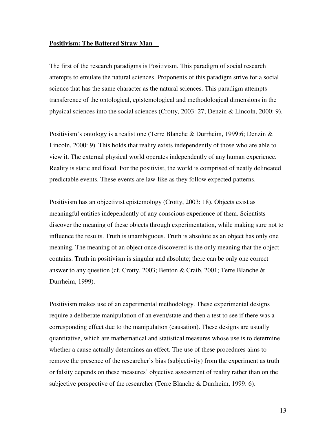#### **Positivism: The Battered Straw Man**

The first of the research paradigms is Positivism. This paradigm of social research attempts to emulate the natural sciences. Proponents of this paradigm strive for a social science that has the same character as the natural sciences. This paradigm attempts transference of the ontological, epistemological and methodological dimensions in the physical sciences into the social sciences (Crotty, 2003: 27; Denzin & Lincoln, 2000: 9).

Positivism's ontology is a realist one (Terre Blanche & Durrheim, 1999:6; Denzin & Lincoln, 2000: 9). This holds that reality exists independently of those who are able to view it. The external physical world operates independently of any human experience. Reality is static and fixed. For the positivist, the world is comprised of neatly delineated predictable events. These events are law-like as they follow expected patterns.

Positivism has an objectivist epistemology (Crotty, 2003: 18). Objects exist as meaningful entities independently of any conscious experience of them. Scientists discover the meaning of these objects through experimentation, while making sure not to influence the results. Truth is unambiguous. Truth is absolute as an object has only one meaning. The meaning of an object once discovered is the only meaning that the object contains. Truth in positivism is singular and absolute; there can be only one correct answer to any question (cf. Crotty, 2003; Benton & Craib, 2001; Terre Blanche  $\&$ Durrheim, 1999).

Positivism makes use of an experimental methodology. These experimental designs require a deliberate manipulation of an event/state and then a test to see if there was a corresponding effect due to the manipulation (causation). These designs are usually quantitative, which are mathematical and statistical measures whose use is to determine whether a cause actually determines an effect. The use of these procedures aims to remove the presence of the researcher's bias (subjectivity) from the experiment as truth or falsity depends on these measures' objective assessment of reality rather than on the subjective perspective of the researcher (Terre Blanche & Durrheim, 1999: 6).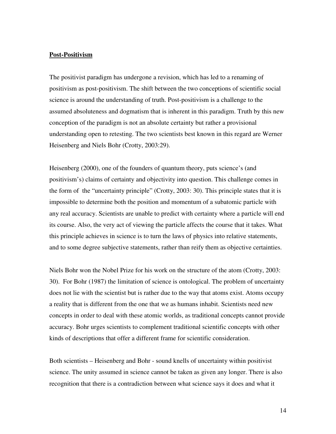#### **Post-Positivism**

The positivist paradigm has undergone a revision, which has led to a renaming of positivism as post-positivism. The shift between the two conceptions of scientific social science is around the understanding of truth. Post-positivism is a challenge to the assumed absoluteness and dogmatism that is inherent in this paradigm. Truth by this new conception of the paradigm is not an absolute certainty but rather a provisional understanding open to retesting. The two scientists best known in this regard are Werner Heisenberg and Niels Bohr (Crotty, 2003:29).

Heisenberg (2000), one of the founders of quantum theory, puts science's (and positivism's) claims of certainty and objectivity into question. This challenge comes in the form of the "uncertainty principle" (Crotty, 2003: 30). This principle states that it is impossible to determine both the position and momentum of a subatomic particle with any real accuracy. Scientists are unable to predict with certainty where a particle will end its course. Also, the very act of viewing the particle affects the course that it takes. What this principle achieves in science is to turn the laws of physics into relative statements, and to some degree subjective statements, rather than reify them as objective certainties.

Niels Bohr won the Nobel Prize for his work on the structure of the atom (Crotty, 2003: 30). For Bohr (1987) the limitation of science is ontological. The problem of uncertainty does not lie with the scientist but is rather due to the way that atoms exist. Atoms occupy a reality that is different from the one that we as humans inhabit. Scientists need new concepts in order to deal with these atomic worlds, as traditional concepts cannot provide accuracy. Bohr urges scientists to complement traditional scientific concepts with other kinds of descriptions that offer a different frame for scientific consideration.

Both scientists – Heisenberg and Bohr - sound knells of uncertainty within positivist science. The unity assumed in science cannot be taken as given any longer. There is also recognition that there is a contradiction between what science says it does and what it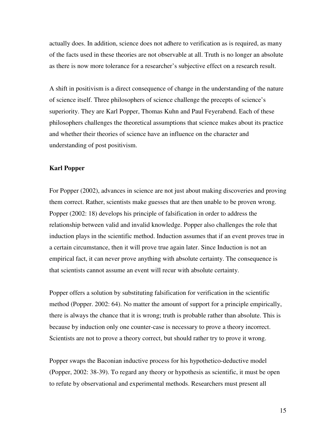actually does. In addition, science does not adhere to verification as is required, as many of the facts used in these theories are not observable at all. Truth is no longer an absolute as there is now more tolerance for a researcher's subjective effect on a research result.

A shift in positivism is a direct consequence of change in the understanding of the nature of science itself. Three philosophers of science challenge the precepts of science's superiority. They are Karl Popper, Thomas Kuhn and Paul Feyerabend. Each of these philosophers challenges the theoretical assumptions that science makes about its practice and whether their theories of science have an influence on the character and understanding of post positivism.

#### **Karl Popper**

For Popper (2002), advances in science are not just about making discoveries and proving them correct. Rather, scientists make guesses that are then unable to be proven wrong. Popper (2002: 18) develops his principle of falsification in order to address the relationship between valid and invalid knowledge. Popper also challenges the role that induction plays in the scientific method. Induction assumes that if an event proves true in a certain circumstance, then it will prove true again later. Since Induction is not an empirical fact, it can never prove anything with absolute certainty. The consequence is that scientists cannot assume an event will recur with absolute certainty.

Popper offers a solution by substituting falsification for verification in the scientific method (Popper. 2002: 64). No matter the amount of support for a principle empirically, there is always the chance that it is wrong; truth is probable rather than absolute. This is because by induction only one counter-case is necessary to prove a theory incorrect. Scientists are not to prove a theory correct, but should rather try to prove it wrong.

Popper swaps the Baconian inductive process for his hypothetico-deductive model (Popper, 2002: 38-39). To regard any theory or hypothesis as scientific, it must be open to refute by observational and experimental methods. Researchers must present all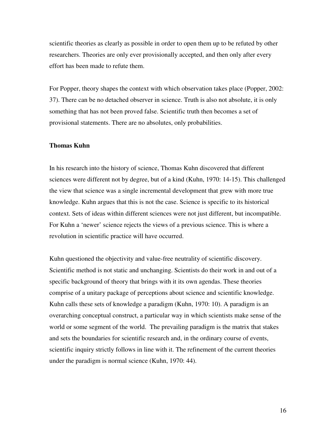scientific theories as clearly as possible in order to open them up to be refuted by other researchers. Theories are only ever provisionally accepted, and then only after every effort has been made to refute them.

For Popper, theory shapes the context with which observation takes place (Popper, 2002: 37). There can be no detached observer in science. Truth is also not absolute, it is only something that has not been proved false. Scientific truth then becomes a set of provisional statements. There are no absolutes, only probabilities.

#### **Thomas Kuhn**

In his research into the history of science, Thomas Kuhn discovered that different sciences were different not by degree, but of a kind (Kuhn, 1970: 14-15). This challenged the view that science was a single incremental development that grew with more true knowledge. Kuhn argues that this is not the case. Science is specific to its historical context. Sets of ideas within different sciences were not just different, but incompatible. For Kuhn a 'newer' science rejects the views of a previous science. This is where a revolution in scientific practice will have occurred.

Kuhn questioned the objectivity and value-free neutrality of scientific discovery. Scientific method is not static and unchanging. Scientists do their work in and out of a specific background of theory that brings with it its own agendas. These theories comprise of a unitary package of perceptions about science and scientific knowledge. Kuhn calls these sets of knowledge a paradigm (Kuhn, 1970: 10). A paradigm is an overarching conceptual construct, a particular way in which scientists make sense of the world or some segment of the world. The prevailing paradigm is the matrix that stakes and sets the boundaries for scientific research and, in the ordinary course of events, scientific inquiry strictly follows in line with it. The refinement of the current theories under the paradigm is normal science (Kuhn, 1970: 44).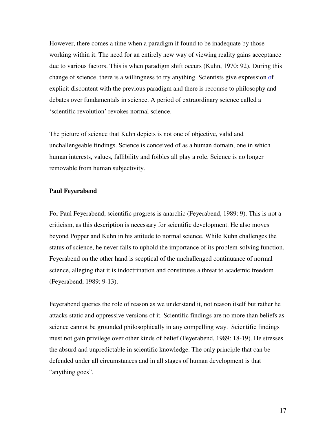However, there comes a time when a paradigm if found to be inadequate by those working within it. The need for an entirely new way of viewing reality gains acceptance due to various factors. This is when paradigm shift occurs (Kuhn, 1970: 92). During this change of science, there is a willingness to try anything. Scientists give expression of explicit discontent with the previous paradigm and there is recourse to philosophy and debates over fundamentals in science. A period of extraordinary science called a 'scientific revolution' revokes normal science.

The picture of science that Kuhn depicts is not one of objective, valid and unchallengeable findings. Science is conceived of as a human domain, one in which human interests, values, fallibility and foibles all play a role. Science is no longer removable from human subjectivity.

#### **Paul Feyerabend**

For Paul Feyerabend, scientific progress is anarchic (Feyerabend, 1989: 9). This is not a criticism, as this description is necessary for scientific development. He also moves beyond Popper and Kuhn in his attitude to normal science. While Kuhn challenges the status of science, he never fails to uphold the importance of its problem-solving function. Feyerabend on the other hand is sceptical of the unchallenged continuance of normal science, alleging that it is indoctrination and constitutes a threat to academic freedom (Feyerabend, 1989: 9-13).

Feyerabend queries the role of reason as we understand it, not reason itself but rather he attacks static and oppressive versions of it. Scientific findings are no more than beliefs as science cannot be grounded philosophically in any compelling way. Scientific findings must not gain privilege over other kinds of belief (Feyerabend, 1989: 18-19). He stresses the absurd and unpredictable in scientific knowledge. The only principle that can be defended under all circumstances and in all stages of human development is that "anything goes".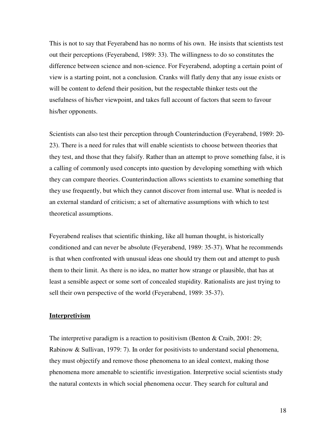This is not to say that Feyerabend has no norms of his own. He insists that scientists test out their perceptions (Feyerabend, 1989: 33). The willingness to do so constitutes the difference between science and non-science. For Feyerabend, adopting a certain point of view is a starting point, not a conclusion. Cranks will flatly deny that any issue exists or will be content to defend their position, but the respectable thinker tests out the usefulness of his/her viewpoint, and takes full account of factors that seem to favour his/her opponents.

Scientists can also test their perception through Counterinduction (Feyerabend, 1989: 20- 23). There is a need for rules that will enable scientists to choose between theories that they test, and those that they falsify. Rather than an attempt to prove something false, it is a calling of commonly used concepts into question by developing something with which they can compare theories. Counterinduction allows scientists to examine something that they use frequently, but which they cannot discover from internal use. What is needed is an external standard of criticism; a set of alternative assumptions with which to test theoretical assumptions.

Feyerabend realises that scientific thinking, like all human thought, is historically conditioned and can never be absolute (Feyerabend, 1989: 35-37). What he recommends is that when confronted with unusual ideas one should try them out and attempt to push them to their limit. As there is no idea, no matter how strange or plausible, that has at least a sensible aspect or some sort of concealed stupidity. Rationalists are just trying to sell their own perspective of the world (Feyerabend, 1989: 35-37).

#### **Interpretivism**

The interpretive paradigm is a reaction to positivism (Benton & Craib, 2001: 29; Rabinow & Sullivan, 1979: 7). In order for positivists to understand social phenomena, they must objectify and remove those phenomena to an ideal context, making those phenomena more amenable to scientific investigation. Interpretive social scientists study the natural contexts in which social phenomena occur. They search for cultural and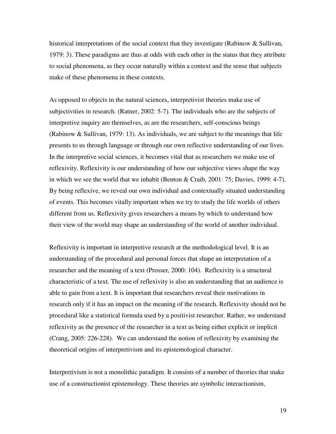historical interpretations of the social context that they investigate (Rabinow & Sullivan, 1979: 3). These paradigms are thus at odds with each other in the status that they attribute to social phenomena, as they occur naturally within a context and the sense that subjects make of these phenomena in these contexts.

As opposed to objects in the natural sciences, interpretivist theories make use of subjectivities in research. (Ratner, 2002: 5-7). The individuals who are the subjects of interpretive inquiry are themselves, as are the researchers, self-conscious beings (Rabinow & Sullivan, 1979: 13). As individuals, we are subject to the meanings that life presents to us through language or through our own reflective understanding of our lives. In the interpretive social sciences, it becomes vital that as researchers we make use of reflexivity. Reflexivity is our understanding of how our subjective views shape the way in which we see the world that we inhabit (Benton & Craib, 2001: 75; Davies, 1999: 4-7). By being reflexive, we reveal our own individual and contextually situated understanding of events. This becomes vitally important when we try to study the life worlds of others different from us. Reflexivity gives researchers a means by which to understand how their view of the world may shape an understanding of the world of another individual.

Reflexivity is important in interpretive research at the methodological level. It is an understanding of the procedural and personal forces that shape an interpretation of a researcher and the meaning of a text (Prosser, 2000: 104). Reflexivity is a structural characteristic of a text. The use of reflexivity is also an understanding that an audience is able to gain from a text. It is important that researchers reveal their motivations in research only if it has an impact on the meaning of the research. Reflexivity should not be procedural like a statistical formula used by a positivist researcher. Rather, we understand reflexivity as the presence of the researcher in a text as being either explicit or implicit (Crang, 2005: 226-228). We can understand the notion of reflexivity by examining the theoretical origins of interpretivism and its epistemological character.

Interpretivism is not a monolithic paradigm. It consists of a number of theories that make use of a constructionist epistemology. These theories are symbolic interactionism,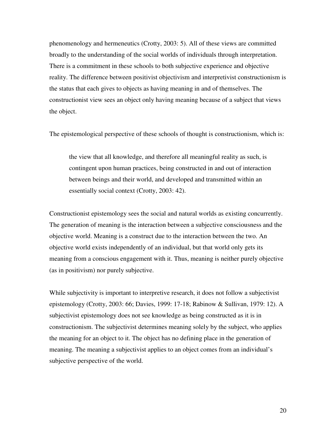phenomenology and hermeneutics (Crotty, 2003: 5). All of these views are committed broadly to the understanding of the social worlds of individuals through interpretation. There is a commitment in these schools to both subjective experience and objective reality. The difference between positivist objectivism and interpretivist constructionism is the status that each gives to objects as having meaning in and of themselves. The constructionist view sees an object only having meaning because of a subject that views the object.

The epistemological perspective of these schools of thought is constructionism, which is:

the view that all knowledge, and therefore all meaningful reality as such, is contingent upon human practices, being constructed in and out of interaction between beings and their world, and developed and transmitted within an essentially social context (Crotty, 2003: 42).

Constructionist epistemology sees the social and natural worlds as existing concurrently. The generation of meaning is the interaction between a subjective consciousness and the objective world. Meaning is a construct due to the interaction between the two. An objective world exists independently of an individual, but that world only gets its meaning from a conscious engagement with it. Thus, meaning is neither purely objective (as in positivism) nor purely subjective.

While subjectivity is important to interpretive research, it does not follow a subjectivist epistemology (Crotty, 2003: 66; Davies, 1999: 17-18; Rabinow & Sullivan, 1979: 12). A subjectivist epistemology does not see knowledge as being constructed as it is in constructionism. The subjectivist determines meaning solely by the subject, who applies the meaning for an object to it. The object has no defining place in the generation of meaning. The meaning a subjectivist applies to an object comes from an individual's subjective perspective of the world.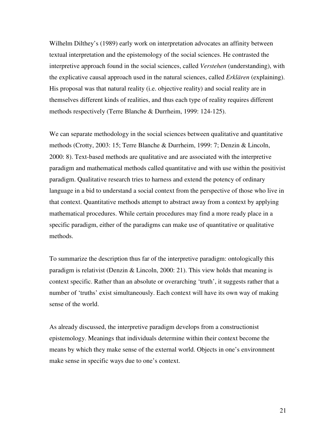Wilhelm Dilthey's (1989) early work on interpretation advocates an affinity between textual interpretation and the epistemology of the social sciences. He contrasted the interpretive approach found in the social sciences, called *Verstehen* (understanding), with the explicative causal approach used in the natural sciences, called *Erklären* (explaining). His proposal was that natural reality (i.e. objective reality) and social reality are in themselves different kinds of realities, and thus each type of reality requires different methods respectively (Terre Blanche & Durrheim, 1999: 124-125).

We can separate methodology in the social sciences between qualitative and quantitative methods (Crotty, 2003: 15; Terre Blanche & Durrheim, 1999: 7; Denzin & Lincoln, 2000: 8). Text-based methods are qualitative and are associated with the interpretive paradigm and mathematical methods called quantitative and with use within the positivist paradigm. Qualitative research tries to harness and extend the potency of ordinary language in a bid to understand a social context from the perspective of those who live in that context. Quantitative methods attempt to abstract away from a context by applying mathematical procedures. While certain procedures may find a more ready place in a specific paradigm, either of the paradigms can make use of quantitative or qualitative methods.

To summarize the description thus far of the interpretive paradigm: ontologically this paradigm is relativist (Denzin & Lincoln, 2000: 21). This view holds that meaning is context specific. Rather than an absolute or overarching 'truth', it suggests rather that a number of 'truths' exist simultaneously. Each context will have its own way of making sense of the world.

As already discussed, the interpretive paradigm develops from a constructionist epistemology. Meanings that individuals determine within their context become the means by which they make sense of the external world. Objects in one's environment make sense in specific ways due to one's context.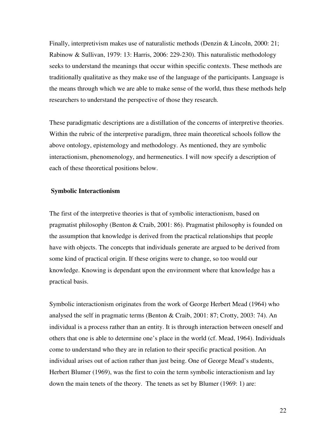Finally, interpretivism makes use of naturalistic methods (Denzin & Lincoln, 2000: 21; Rabinow & Sullivan, 1979: 13: Harris, 2006: 229-230). This naturalistic methodology seeks to understand the meanings that occur within specific contexts. These methods are traditionally qualitative as they make use of the language of the participants. Language is the means through which we are able to make sense of the world, thus these methods help researchers to understand the perspective of those they research.

These paradigmatic descriptions are a distillation of the concerns of interpretive theories. Within the rubric of the interpretive paradigm, three main theoretical schools follow the above ontology, epistemology and methodology. As mentioned, they are symbolic interactionism, phenomenology, and hermeneutics. I will now specify a description of each of these theoretical positions below.

#### **Symbolic Interactionism**

The first of the interpretive theories is that of symbolic interactionism, based on pragmatist philosophy (Benton & Craib, 2001: 86). Pragmatist philosophy is founded on the assumption that knowledge is derived from the practical relationships that people have with objects. The concepts that individuals generate are argued to be derived from some kind of practical origin. If these origins were to change, so too would our knowledge. Knowing is dependant upon the environment where that knowledge has a practical basis.

Symbolic interactionism originates from the work of George Herbert Mead (1964) who analysed the self in pragmatic terms (Benton & Craib, 2001: 87; Crotty, 2003: 74). An individual is a process rather than an entity. It is through interaction between oneself and others that one is able to determine one's place in the world (cf. Mead, 1964). Individuals come to understand who they are in relation to their specific practical position. An individual arises out of action rather than just being. One of George Mead's students, Herbert Blumer (1969), was the first to coin the term symbolic interactionism and lay down the main tenets of the theory. The tenets as set by Blumer (1969: 1) are: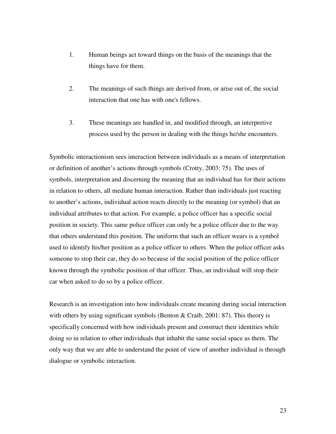- 1. Human beings act toward things on the basis of the meanings that the things have for them.
- 2. The meanings of such things are derived from, or arise out of, the social interaction that one has with one's fellows.
- 3. These meanings are handled in, and modified through, an interpretive process used by the person in dealing with the things he/she encounters.

Symbolic interactionism sees interaction between individuals as a means of interpretation or definition of another's actions through symbols (Crotty, 2003: 75). The uses of symbols, interpretation and discerning the meaning that an individual has for their actions in relation to others, all mediate human interaction. Rather than individuals just reacting to another's actions, individual action reacts directly to the meaning (or symbol) that an individual attributes to that action. For example, a police officer has a specific social position in society. This same police officer can only be a police officer due to the way that others understand this position. The uniform that such an officer wears is a symbol used to identify his/her position as a police officer to others. When the police officer asks someone to stop their car, they do so because of the social position of the police officer known through the symbolic position of that officer. Thus, an individual will stop their car when asked to do so by a police officer.

Research is an investigation into how individuals create meaning during social interaction with others by using significant symbols (Benton & Craib, 2001: 87). This theory is specifically concerned with how individuals present and construct their identities while doing so in relation to other individuals that inhabit the same social space as them. The only way that we are able to understand the point of view of another individual is through dialogue or symbolic interaction.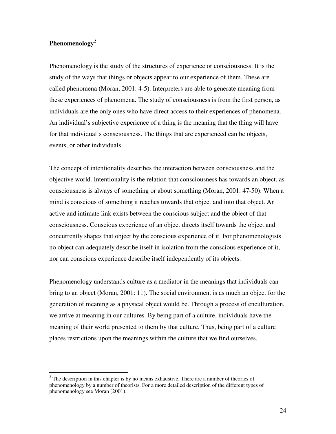### **Phenomenology<sup>2</sup>**

 $\overline{a}$ 

Phenomenology is the study of the structures of experience or consciousness. It is the study of the ways that things or objects appear to our experience of them. These are called phenomena (Moran, 2001: 4-5). Interpreters are able to generate meaning from these experiences of phenomena. The study of consciousness is from the first person, as individuals are the only ones who have direct access to their experiences of phenomena. An individual's subjective experience of a thing is the meaning that the thing will have for that individual's consciousness. The things that are experienced can be objects, events, or other individuals.

The concept of intentionality describes the interaction between consciousness and the objective world. Intentionality is the relation that consciousness has towards an object, as consciousness is always of something or about something (Moran, 2001: 47-50). When a mind is conscious of something it reaches towards that object and into that object. An active and intimate link exists between the conscious subject and the object of that consciousness. Conscious experience of an object directs itself towards the object and concurrently shapes that object by the conscious experience of it. For phenomenologists no object can adequately describe itself in isolation from the conscious experience of it, nor can conscious experience describe itself independently of its objects.

Phenomenology understands culture as a mediator in the meanings that individuals can bring to an object (Moran, 2001: 11). The social environment is as much an object for the generation of meaning as a physical object would be. Through a process of enculturation, we arrive at meaning in our cultures. By being part of a culture, individuals have the meaning of their world presented to them by that culture. Thus, being part of a culture places restrictions upon the meanings within the culture that we find ourselves.

 $2<sup>2</sup>$  The description in this chapter is by no means exhaustive. There are a number of theories of phenomenology by a number of theorists. For a more detailed description of the different types of phenomenology see Moran (2001).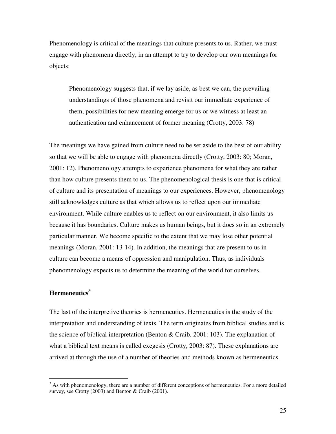Phenomenology is critical of the meanings that culture presents to us. Rather, we must engage with phenomena directly, in an attempt to try to develop our own meanings for objects:

Phenomenology suggests that, if we lay aside, as best we can, the prevailing understandings of those phenomena and revisit our immediate experience of them, possibilities for new meaning emerge for us or we witness at least an authentication and enhancement of former meaning (Crotty, 2003: 78)

The meanings we have gained from culture need to be set aside to the best of our ability so that we will be able to engage with phenomena directly (Crotty, 2003: 80; Moran, 2001: 12). Phenomenology attempts to experience phenomena for what they are rather than how culture presents them to us. The phenomenological thesis is one that is critical of culture and its presentation of meanings to our experiences. However, phenomenology still acknowledges culture as that which allows us to reflect upon our immediate environment. While culture enables us to reflect on our environment, it also limits us because it has boundaries. Culture makes us human beings, but it does so in an extremely particular manner. We become specific to the extent that we may lose other potential meanings (Moran, 2001: 13-14). In addition, the meanings that are present to us in culture can become a means of oppression and manipulation. Thus, as individuals phenomenology expects us to determine the meaning of the world for ourselves.

### **Hermeneutics<sup>3</sup>**

The last of the interpretive theories is hermeneutics. Hermeneutics is the study of the interpretation and understanding of texts. The term originates from biblical studies and is the science of biblical interpretation (Benton & Craib, 2001: 103). The explanation of what a biblical text means is called exegesis (Crotty, 2003: 87). These explanations are arrived at through the use of a number of theories and methods known as hermeneutics.

<sup>&</sup>lt;sup>3</sup> As with phenomenology, there are a number of different conceptions of hermeneutics. For a more detailed survey, see Crotty (2003) and Benton & Craib (2001).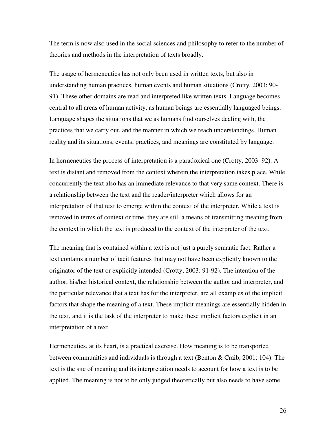The term is now also used in the social sciences and philosophy to refer to the number of theories and methods in the interpretation of texts broadly.

The usage of hermeneutics has not only been used in written texts, but also in understanding human practices, human events and human situations (Crotty, 2003: 90- 91). These other domains are read and interpreted like written texts. Language becomes central to all areas of human activity, as human beings are essentially languaged beings. Language shapes the situations that we as humans find ourselves dealing with, the practices that we carry out, and the manner in which we reach understandings. Human reality and its situations, events, practices, and meanings are constituted by language.

In hermeneutics the process of interpretation is a paradoxical one (Crotty, 2003: 92). A text is distant and removed from the context wherein the interpretation takes place. While concurrently the text also has an immediate relevance to that very same context. There is a relationship between the text and the reader/interpreter which allows for an interpretation of that text to emerge within the context of the interpreter. While a text is removed in terms of context or time, they are still a means of transmitting meaning from the context in which the text is produced to the context of the interpreter of the text.

The meaning that is contained within a text is not just a purely semantic fact. Rather a text contains a number of tacit features that may not have been explicitly known to the originator of the text or explicitly intended (Crotty, 2003: 91-92). The intention of the author, his/her historical context, the relationship between the author and interpreter, and the particular relevance that a text has for the interpreter, are all examples of the implicit factors that shape the meaning of a text. These implicit meanings are essentially hidden in the text, and it is the task of the interpreter to make these implicit factors explicit in an interpretation of a text.

Hermeneutics, at its heart, is a practical exercise. How meaning is to be transported between communities and individuals is through a text (Benton & Craib, 2001: 104). The text is the site of meaning and its interpretation needs to account for how a text is to be applied. The meaning is not to be only judged theoretically but also needs to have some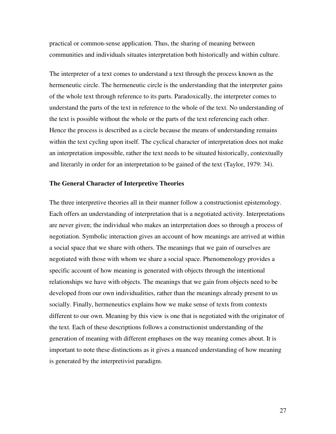practical or common-sense application. Thus, the sharing of meaning between communities and individuals situates interpretation both historically and within culture.

The interpreter of a text comes to understand a text through the process known as the hermeneutic circle. The hermeneutic circle is the understanding that the interpreter gains of the whole text through reference to its parts. Paradoxically, the interpreter comes to understand the parts of the text in reference to the whole of the text. No understanding of the text is possible without the whole or the parts of the text referencing each other. Hence the process is described as a circle because the means of understanding remains within the text cycling upon itself. The cyclical character of interpretation does not make an interpretation impossible, rather the text needs to be situated historically, contextually and literarily in order for an interpretation to be gained of the text (Taylor, 1979: 34).

#### **The General Character of Interpretive Theories**

The three interpretive theories all in their manner follow a constructionist epistemology. Each offers an understanding of interpretation that is a negotiated activity. Interpretations are never given; the individual who makes an interpretation does so through a process of negotiation. Symbolic interaction gives an account of how meanings are arrived at within a social space that we share with others. The meanings that we gain of ourselves are negotiated with those with whom we share a social space. Phenomenology provides a specific account of how meaning is generated with objects through the intentional relationships we have with objects. The meanings that we gain from objects need to be developed from our own individualities, rather than the meanings already present to us socially. Finally, hermeneutics explains how we make sense of texts from contexts different to our own. Meaning by this view is one that is negotiated with the originator of the text. Each of these descriptions follows a constructionist understanding of the generation of meaning with different emphases on the way meaning comes about. It is important to note these distinctions as it gives a nuanced understanding of how meaning is generated by the interpretivist paradigm.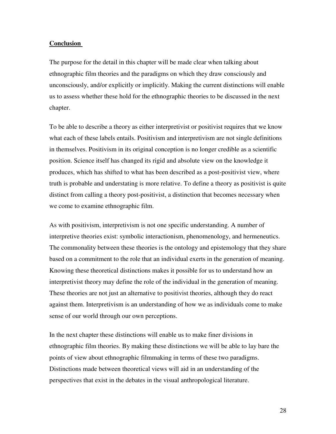#### **Conclusion**

The purpose for the detail in this chapter will be made clear when talking about ethnographic film theories and the paradigms on which they draw consciously and unconsciously, and/or explicitly or implicitly. Making the current distinctions will enable us to assess whether these hold for the ethnographic theories to be discussed in the next chapter.

To be able to describe a theory as either interpretivist or positivist requires that we know what each of these labels entails. Positivism and interpretivism are not single definitions in themselves. Positivism in its original conception is no longer credible as a scientific position. Science itself has changed its rigid and absolute view on the knowledge it produces, which has shifted to what has been described as a post-positivist view, where truth is probable and understating is more relative. To define a theory as positivist is quite distinct from calling a theory post-positivist, a distinction that becomes necessary when we come to examine ethnographic film.

As with positivism, interpretivism is not one specific understanding. A number of interpretive theories exist: symbolic interactionism, phenomenology, and hermeneutics. The commonality between these theories is the ontology and epistemology that they share based on a commitment to the role that an individual exerts in the generation of meaning. Knowing these theoretical distinctions makes it possible for us to understand how an interpretivist theory may define the role of the individual in the generation of meaning. These theories are not just an alternative to positivist theories, although they do react against them. Interpretivism is an understanding of how we as individuals come to make sense of our world through our own perceptions.

In the next chapter these distinctions will enable us to make finer divisions in ethnographic film theories. By making these distinctions we will be able to lay bare the points of view about ethnographic filmmaking in terms of these two paradigms. Distinctions made between theoretical views will aid in an understanding of the perspectives that exist in the debates in the visual anthropological literature.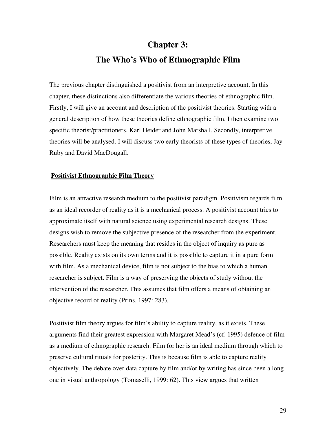# **Chapter 3: The Who's Who of Ethnographic Film**

The previous chapter distinguished a positivist from an interpretive account. In this chapter, these distinctions also differentiate the various theories of ethnographic film. Firstly, I will give an account and description of the positivist theories. Starting with a general description of how these theories define ethnographic film. I then examine two specific theorist/practitioners, Karl Heider and John Marshall. Secondly, interpretive theories will be analysed. I will discuss two early theorists of these types of theories, Jay Ruby and David MacDougall.

#### **Positivist Ethnographic Film Theory**

Film is an attractive research medium to the positivist paradigm. Positivism regards film as an ideal recorder of reality as it is a mechanical process. A positivist account tries to approximate itself with natural science using experimental research designs. These designs wish to remove the subjective presence of the researcher from the experiment. Researchers must keep the meaning that resides in the object of inquiry as pure as possible. Reality exists on its own terms and it is possible to capture it in a pure form with film. As a mechanical device, film is not subject to the bias to which a human researcher is subject. Film is a way of preserving the objects of study without the intervention of the researcher. This assumes that film offers a means of obtaining an objective record of reality (Prins, 1997: 283).

Positivist film theory argues for film's ability to capture reality, as it exists. These arguments find their greatest expression with Margaret Mead's (cf. 1995) defence of film as a medium of ethnographic research. Film for her is an ideal medium through which to preserve cultural rituals for posterity. This is because film is able to capture reality objectively. The debate over data capture by film and/or by writing has since been a long one in visual anthropology (Tomaselli, 1999: 62). This view argues that written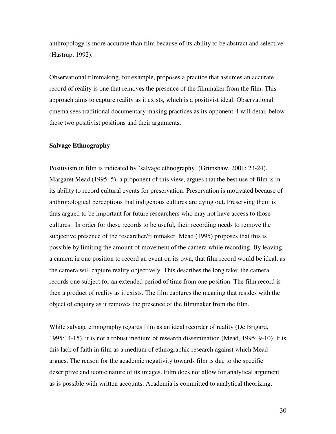anthropology is more accurate than film because of its ability to be abstract and selective (Hastrup, 1992).

Observational filmmaking, for example, proposes a practice that assumes an accurate record of reality is one that removes the presence of the filmmaker from the film. This approach aims to capture reality as it exists, which is a positivist ideal. Observational cinema sees traditional documentary making practices as its opponent. I will detail below these two positivist positions and their arguments.

#### **Salvage Ethnography**

Positivism in film is indicated by `salvage ethnography' (Grimshaw, 2001: 23-24). Margaret Mead (1995: 5), a proponent of this view, argues that the best use of film is in its ability to record cultural events for preservation. Preservation is motivated because of anthropological perceptions that indigenous cultures are dying out. Preserving them is thus argued to be important for future researchers who may not have access to those cultures. In order for these records to be useful, their recording needs to remove the subjective presence of the researcher/filmmaker. Mead (1995) proposes that this is possible by limiting the amount of movement of the camera while recording. By leaving a camera in one position to record an event on its own, that film record would be ideal, as the camera will capture reality objectively. This describes the long take; the camera records one subject for an extended period of time from one position. The film record is then a product of reality as it exists. The film captures the meaning that resides with the object of enquiry as it removes the presence of the filmmaker from the film.

While salvage ethnography regards film as an ideal recorder of reality (De Brigard, 1995:14-15), it is not a robust medium of research dissemination (Mead, 1995: 9-10). It is this lack of faith in film as a medium of ethnographic research against which Mead argues. The reason for the academic negativity towards film is due to the specific descriptive and iconic nature of its images. Film does not allow for analytical argument as is possible with written accounts. Academia is committed to analytical theorizing.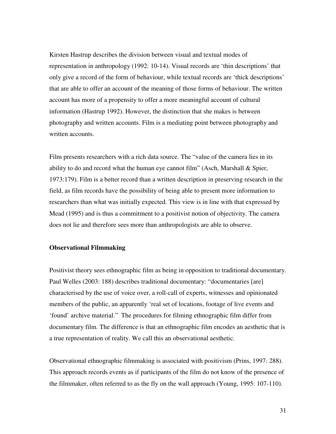Kirsten Hastrup describes the division between visual and textual modes of representation in anthropology (1992: 10-14). Visual records are 'thin descriptions' that only give a record of the form of behaviour, while textual records are 'thick descriptions' that are able to offer an account of the meaning of those forms of behaviour. The written account has more of a propensity to offer a more meaningful account of cultural information (Hastrup 1992). However, the distinction that she makes is between photography and written accounts. Film is a mediating point between photography and written accounts.

Film presents researchers with a rich data source. The "value of the camera lies in its ability to do and record what the human eye cannot film" (Asch, Marshall & Spier, 1973:179). Film is a better record than a written description in preserving research in the field, as film records have the possibility of being able to present more information to researchers than what was initially expected. This view is in line with that expressed by Mead (1995) and is thus a commitment to a positivist notion of objectivity. The camera does not lie and therefore sees more than anthropologists are able to observe.

#### **Observational Filmmaking**

Positivist theory sees ethnographic film as being in opposition to traditional documentary. Paul Welles (2003: 188) describes traditional documentary: "documentaries [are] characterised by the use of voice over, a roll-call of experts, witnesses and opinionated members of the public, an apparently 'real set of locations, footage of live events and 'found' archive material." The procedures for filming ethnographic film differ from documentary film. The difference is that an ethnographic film encodes an aesthetic that is a true representation of reality. We call this an observational aesthetic.

Observational ethnographic filmmaking is associated with positivism (Prins, 1997: 288). This approach records events as if participants of the film do not know of the presence of the filmmaker, often referred to as the fly on the wall approach (Young, 1995: 107-110).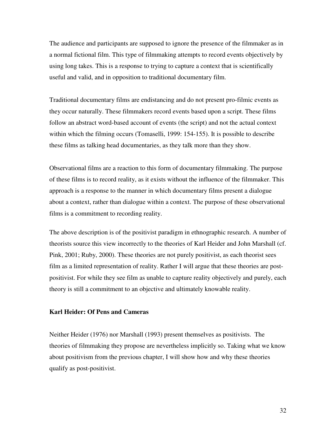The audience and participants are supposed to ignore the presence of the filmmaker as in a normal fictional film. This type of filmmaking attempts to record events objectively by using long takes. This is a response to trying to capture a context that is scientifically useful and valid, and in opposition to traditional documentary film.

Traditional documentary films are endistancing and do not present pro-filmic events as they occur naturally. These filmmakers record events based upon a script. These films follow an abstract word-based account of events (the script) and not the actual context within which the filming occurs (Tomaselli, 1999: 154-155). It is possible to describe these films as talking head documentaries, as they talk more than they show.

Observational films are a reaction to this form of documentary filmmaking. The purpose of these films is to record reality, as it exists without the influence of the filmmaker. This approach is a response to the manner in which documentary films present a dialogue about a context, rather than dialogue within a context. The purpose of these observational films is a commitment to recording reality.

The above description is of the positivist paradigm in ethnographic research. A number of theorists source this view incorrectly to the theories of Karl Heider and John Marshall (cf. Pink, 2001; Ruby, 2000). These theories are not purely positivist, as each theorist sees film as a limited representation of reality. Rather I will argue that these theories are postpositivist. For while they see film as unable to capture reality objectively and purely, each theory is still a commitment to an objective and ultimately knowable reality.

#### **Karl Heider: Of Pens and Cameras**

Neither Heider (1976) nor Marshall (1993) present themselves as positivists. The theories of filmmaking they propose are nevertheless implicitly so. Taking what we know about positivism from the previous chapter, I will show how and why these theories qualify as post-positivist.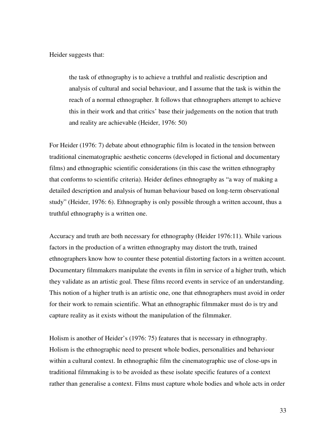Heider suggests that:

the task of ethnography is to achieve a truthful and realistic description and analysis of cultural and social behaviour, and I assume that the task is within the reach of a normal ethnographer. It follows that ethnographers attempt to achieve this in their work and that critics' base their judgements on the notion that truth and reality are achievable (Heider, 1976: 50)

For Heider (1976: 7) debate about ethnographic film is located in the tension between traditional cinematographic aesthetic concerns (developed in fictional and documentary films) and ethnographic scientific considerations (in this case the written ethnography that conforms to scientific criteria). Heider defines ethnography as "a way of making a detailed description and analysis of human behaviour based on long-term observational study" (Heider, 1976: 6). Ethnography is only possible through a written account, thus a truthful ethnography is a written one.

Accuracy and truth are both necessary for ethnography (Heider 1976:11). While various factors in the production of a written ethnography may distort the truth, trained ethnographers know how to counter these potential distorting factors in a written account. Documentary filmmakers manipulate the events in film in service of a higher truth, which they validate as an artistic goal. These films record events in service of an understanding. This notion of a higher truth is an artistic one, one that ethnographers must avoid in order for their work to remain scientific. What an ethnographic filmmaker must do is try and capture reality as it exists without the manipulation of the filmmaker.

Holism is another of Heider's (1976: 75) features that is necessary in ethnography. Holism is the ethnographic need to present whole bodies, personalities and behaviour within a cultural context. In ethnographic film the cinematographic use of close-ups in traditional filmmaking is to be avoided as these isolate specific features of a context rather than generalise a context. Films must capture whole bodies and whole acts in order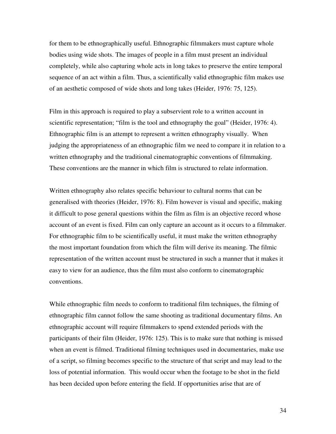for them to be ethnographically useful. Ethnographic filmmakers must capture whole bodies using wide shots. The images of people in a film must present an individual completely, while also capturing whole acts in long takes to preserve the entire temporal sequence of an act within a film. Thus, a scientifically valid ethnographic film makes use of an aesthetic composed of wide shots and long takes (Heider, 1976: 75, 125).

Film in this approach is required to play a subservient role to a written account in scientific representation; "film is the tool and ethnography the goal" (Heider, 1976: 4). Ethnographic film is an attempt to represent a written ethnography visually. When judging the appropriateness of an ethnographic film we need to compare it in relation to a written ethnography and the traditional cinematographic conventions of filmmaking. These conventions are the manner in which film is structured to relate information.

Written ethnography also relates specific behaviour to cultural norms that can be generalised with theories (Heider, 1976: 8). Film however is visual and specific, making it difficult to pose general questions within the film as film is an objective record whose account of an event is fixed. Film can only capture an account as it occurs to a filmmaker. For ethnographic film to be scientifically useful, it must make the written ethnography the most important foundation from which the film will derive its meaning. The filmic representation of the written account must be structured in such a manner that it makes it easy to view for an audience, thus the film must also conform to cinematographic conventions.

While ethnographic film needs to conform to traditional film techniques, the filming of ethnographic film cannot follow the same shooting as traditional documentary films. An ethnographic account will require filmmakers to spend extended periods with the participants of their film (Heider, 1976: 125). This is to make sure that nothing is missed when an event is filmed. Traditional filming techniques used in documentaries, make use of a script, so filming becomes specific to the structure of that script and may lead to the loss of potential information. This would occur when the footage to be shot in the field has been decided upon before entering the field. If opportunities arise that are of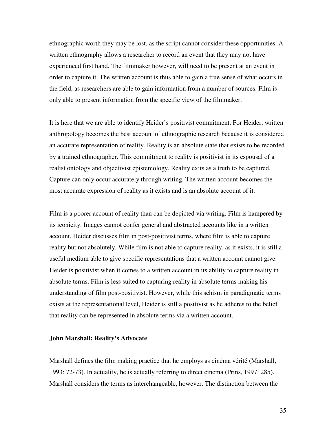ethnographic worth they may be lost, as the script cannot consider these opportunities. A written ethnography allows a researcher to record an event that they may not have experienced first hand. The filmmaker however, will need to be present at an event in order to capture it. The written account is thus able to gain a true sense of what occurs in the field, as researchers are able to gain information from a number of sources. Film is only able to present information from the specific view of the filmmaker.

It is here that we are able to identify Heider's positivist commitment. For Heider, written anthropology becomes the best account of ethnographic research because it is considered an accurate representation of reality. Reality is an absolute state that exists to be recorded by a trained ethnographer. This commitment to reality is positivist in its espousal of a realist ontology and objectivist epistemology. Reality exits as a truth to be captured. Capture can only occur accurately through writing. The written account becomes the most accurate expression of reality as it exists and is an absolute account of it.

Film is a poorer account of reality than can be depicted via writing. Film is hampered by its iconicity. Images cannot confer general and abstracted accounts like in a written account. Heider discusses film in post-positivist terms, where film is able to capture reality but not absolutely. While film is not able to capture reality, as it exists, it is still a useful medium able to give specific representations that a written account cannot give. Heider is positivist when it comes to a written account in its ability to capture reality in absolute terms. Film is less suited to capturing reality in absolute terms making his understanding of film post-positivist. However, while this schism in paradigmatic terms exists at the representational level, Heider is still a positivist as he adheres to the belief that reality can be represented in absolute terms via a written account.

#### **John Marshall: Reality's Advocate**

Marshall defines the film making practice that he employs as cinéma vérité (Marshall, 1993: 72-73). In actuality, he is actually referring to direct cinema (Prins, 1997: 285). Marshall considers the terms as interchangeable, however. The distinction between the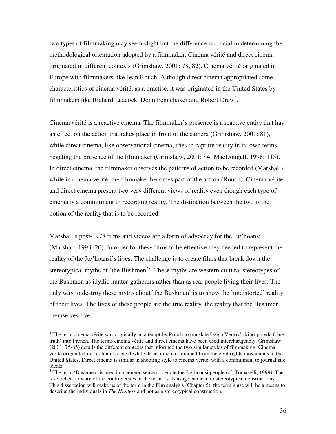two types of filmmaking may seem slight but the difference is crucial in determining the methodological orientation adopted by a filmmaker. Cinema vérité and direct cinema originated in different contexts (Grimshaw, 2001: 78, 82). Cinema vérité originated in Europe with filmmakers like Jean Rouch. Although direct cinema appropriated some characteristics of cinema vérité, as a practise, it was originated in the United States by filmmakers like Richard Leacock, Donn Pennebaker and Robert Drew<sup>4</sup>.

Cinéma vérité is a reactive cinema. The filmmaker's presence is a reactive entity that has an effect on the action that takes place in front of the camera (Grimshaw, 2001: 81), while direct cinema, like observational cinema, tries to capture reality in its own terms, negating the presence of the filmmaker (Grimshaw, 2001: 84; MacDougall, 1998: 115). In direct cinema, the filmmaker observes the patterns of action to be recorded (Marshall) while in cinema vérité, the filmmaker becomes part of the action (Rouch). Cinema vérité and direct cinema present two very different views of reality even though each type of cinema is a commitment to recording reality. The distinction between the two is the notion of the reality that is to be recorded.

Marshall's post-1978 films and videos are a form of advocacy for the Ju/'hoansi (Marshall, 1993: 20). In order for these films to be effective they needed to represent the reality of the Ju/'hoansi's lives. The challenge is to create films that break down the stereotypical myths of `the Bushmen<sup>5</sup>'. These myths are western cultural stereotypes of the Bushmen as idyllic hunter-gatherers rather than as real people living their lives. The only way to destroy these myths about `the Bushmen' is to show the `undistorted' reality of their lives. The lives of these people are the true reality, the reality that the Bushmen themselves live.

 $\overline{a}$ 

<sup>&</sup>lt;sup>4</sup> The term cinema vérité was originally an attempt by Rouch to translate Dziga Vertov's kino-pravda (cinetruth) into French. The terms cinema vérité and direct cinema have been used interchangeably. Grimshaw (2001: 75-85) details the different contexts that informed the two similar styles of filmmaking. Cinema vérité originated in a colonial context while direct cinema stemmed from the civil rights movements in the United States. Direct cinema is similar in shooting style to cinema vérité, with a commitment to journalistic ideals.

 $<sup>5</sup>$  The term 'Bushmen' is used in a generic sense to denote the Ju/'hoansi people (cf. Tomaselli, 1999). The</sup> researcher is aware of the controversies of the term, as its usage can lead to stereotypical constructions. This dissertation will make us of the term in the film analysis (Chapter 5), the term's use will be a means to describe the individuals in *The Hunters* and not as a stereotypical construction.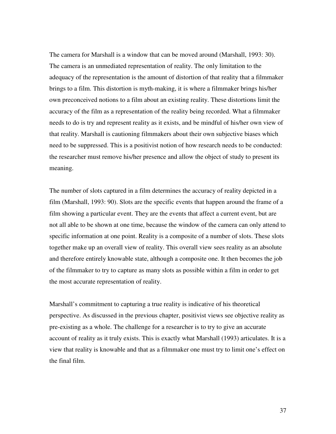The camera for Marshall is a window that can be moved around (Marshall, 1993: 30). The camera is an unmediated representation of reality. The only limitation to the adequacy of the representation is the amount of distortion of that reality that a filmmaker brings to a film. This distortion is myth-making, it is where a filmmaker brings his/her own preconceived notions to a film about an existing reality. These distortions limit the accuracy of the film as a representation of the reality being recorded. What a filmmaker needs to do is try and represent reality as it exists, and be mindful of his/her own view of that reality. Marshall is cautioning filmmakers about their own subjective biases which need to be suppressed. This is a positivist notion of how research needs to be conducted: the researcher must remove his/her presence and allow the object of study to present its meaning.

The number of slots captured in a film determines the accuracy of reality depicted in a film (Marshall, 1993: 90). Slots are the specific events that happen around the frame of a film showing a particular event. They are the events that affect a current event, but are not all able to be shown at one time, because the window of the camera can only attend to specific information at one point. Reality is a composite of a number of slots. These slots together make up an overall view of reality. This overall view sees reality as an absolute and therefore entirely knowable state, although a composite one. It then becomes the job of the filmmaker to try to capture as many slots as possible within a film in order to get the most accurate representation of reality.

Marshall's commitment to capturing a true reality is indicative of his theoretical perspective. As discussed in the previous chapter, positivist views see objective reality as pre-existing as a whole. The challenge for a researcher is to try to give an accurate account of reality as it truly exists. This is exactly what Marshall (1993) articulates. It is a view that reality is knowable and that as a filmmaker one must try to limit one's effect on the final film.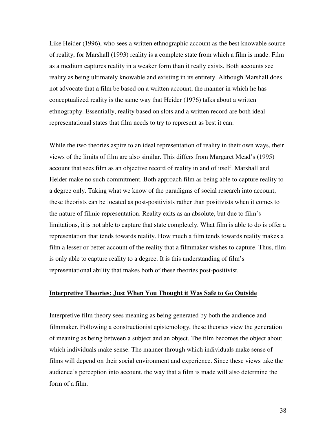Like Heider (1996), who sees a written ethnographic account as the best knowable source of reality, for Marshall (1993) reality is a complete state from which a film is made. Film as a medium captures reality in a weaker form than it really exists. Both accounts see reality as being ultimately knowable and existing in its entirety. Although Marshall does not advocate that a film be based on a written account, the manner in which he has conceptualized reality is the same way that Heider (1976) talks about a written ethnography. Essentially, reality based on slots and a written record are both ideal representational states that film needs to try to represent as best it can.

While the two theories aspire to an ideal representation of reality in their own ways, their views of the limits of film are also similar. This differs from Margaret Mead's (1995) account that sees film as an objective record of reality in and of itself. Marshall and Heider make no such commitment. Both approach film as being able to capture reality to a degree only. Taking what we know of the paradigms of social research into account, these theorists can be located as post-positivists rather than positivists when it comes to the nature of filmic representation. Reality exits as an absolute, but due to film's limitations, it is not able to capture that state completely. What film is able to do is offer a representation that tends towards reality. How much a film tends towards reality makes a film a lesser or better account of the reality that a filmmaker wishes to capture. Thus, film is only able to capture reality to a degree. It is this understanding of film's representational ability that makes both of these theories post-positivist.

## **Interpretive Theories: Just When You Thought it Was Safe to Go Outside**

Interpretive film theory sees meaning as being generated by both the audience and filmmaker. Following a constructionist epistemology, these theories view the generation of meaning as being between a subject and an object. The film becomes the object about which individuals make sense. The manner through which individuals make sense of films will depend on their social environment and experience. Since these views take the audience's perception into account, the way that a film is made will also determine the form of a film.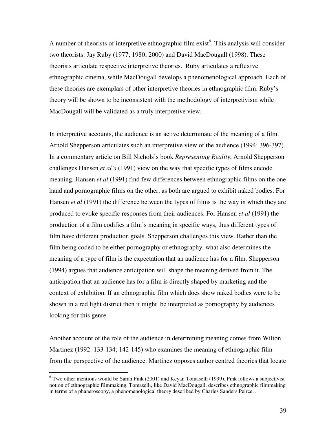A number of theorists of interpretive ethnographic film exist<sup>6</sup>. This analysis will consider two theorists: Jay Ruby (1977; 1980; 2000) and David MacDougall (1998). These theorists articulate respective interpretive theories. Ruby articulates a reflexive ethnographic cinema, while MacDougall develops a phenomenological approach. Each of these theories are exemplars of other interpretive theories in ethnographic film. Ruby's theory will be shown to be inconsistent with the methodology of interpretivism while MacDougall will be validated as a truly interpretive view.

In interpretive accounts, the audience is an active determinate of the meaning of a film. Arnold Shepperson articulates such an interpretive view of the audience (1994: 396-397). In a commentary article on Bill Nichols's book *Representing Reality*, Arnold Shepperson challenges Hansen *et al's* (1991) view on the way that specific types of films encode meaning. Hansen *et al* (1991) find few differences between ethnographic films on the one hand and pornographic films on the other, as both are argued to exhibit naked bodies. For Hansen *et al* (1991) the difference between the types of films is the way in which they are produced to evoke specific responses from their audiences. For Hansen *et al* (1991) the production of a film codifies a film's meaning in specific ways, thus different types of film have different production goals. Shepperson challenges this view. Rather than the film being coded to be either pornography or ethnography, what also determines the meaning of a type of film is the expectation that an audience has for a film. Shepperson (1994) argues that audience anticipation will shape the meaning derived from it. The anticipation that an audience has for a film is directly shaped by marketing and the context of exhibition. If an ethnographic film which does show naked bodies were to be shown in a red light district then it might be interpreted as pornography by audiences looking for this genre.

Another account of the role of the audience in determining meaning comes from Wilton Martinez (1992: 133-134; 142-145) who examines the meaning of ethnographic film from the perspective of the audience. Martinez opposes author centred theories that locate

 $\overline{a}$ 

 $6$  Two other mentions would be Sarah Pink (2001) and Keyan Tomaselli (1999). Pink follows a subjectivist notion of ethnographic filmmaking. Tomaselli, like David MacDougall, describes ethnographic filmmaking in terms of a phaneroscopy, a phenomenological theory described by Charles Sanders Peirce. .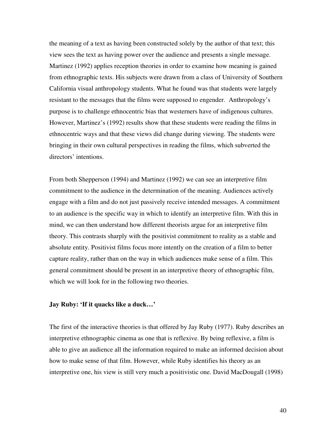the meaning of a text as having been constructed solely by the author of that text; this view sees the text as having power over the audience and presents a single message. Martinez (1992) applies reception theories in order to examine how meaning is gained from ethnographic texts. His subjects were drawn from a class of University of Southern California visual anthropology students. What he found was that students were largely resistant to the messages that the films were supposed to engender. Anthropology's purpose is to challenge ethnocentric bias that westerners have of indigenous cultures. However, Martinez's (1992) results show that these students were reading the films in ethnocentric ways and that these views did change during viewing. The students were bringing in their own cultural perspectives in reading the films, which subverted the directors' intentions.

From both Shepperson (1994) and Martinez (1992) we can see an interpretive film commitment to the audience in the determination of the meaning. Audiences actively engage with a film and do not just passively receive intended messages. A commitment to an audience is the specific way in which to identify an interpretive film. With this in mind, we can then understand how different theorists argue for an interpretive film theory. This contrasts sharply with the positivist commitment to reality as a stable and absolute entity. Positivist films focus more intently on the creation of a film to better capture reality, rather than on the way in which audiences make sense of a film. This general commitment should be present in an interpretive theory of ethnographic film, which we will look for in the following two theories.

## **Jay Ruby: 'If it quacks like a duck…'**

The first of the interactive theories is that offered by Jay Ruby (1977). Ruby describes an interpretive ethnographic cinema as one that is reflexive. By being reflexive, a film is able to give an audience all the information required to make an informed decision about how to make sense of that film. However, while Ruby identifies his theory as an interpretive one, his view is still very much a positivistic one. David MacDougall (1998)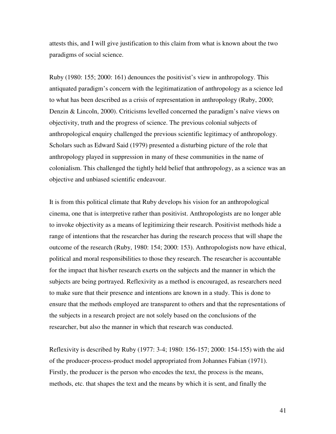attests this, and I will give justification to this claim from what is known about the two paradigms of social science.

Ruby (1980: 155; 2000: 161) denounces the positivist's view in anthropology. This antiquated paradigm's concern with the legitimatization of anthropology as a science led to what has been described as a crisis of representation in anthropology (Ruby, 2000; Denzin & Lincoln, 2000). Criticisms levelled concerned the paradigm's naïve views on objectivity, truth and the progress of science. The previous colonial subjects of anthropological enquiry challenged the previous scientific legitimacy of anthropology. Scholars such as Edward Said (1979) presented a disturbing picture of the role that anthropology played in suppression in many of these communities in the name of colonialism. This challenged the tightly held belief that anthropology, as a science was an objective and unbiased scientific endeavour.

It is from this political climate that Ruby develops his vision for an anthropological cinema, one that is interpretive rather than positivist. Anthropologists are no longer able to invoke objectivity as a means of legitimizing their research. Positivist methods hide a range of intentions that the researcher has during the research process that will shape the outcome of the research (Ruby, 1980: 154; 2000: 153). Anthropologists now have ethical, political and moral responsibilities to those they research. The researcher is accountable for the impact that his/her research exerts on the subjects and the manner in which the subjects are being portrayed. Reflexivity as a method is encouraged, as researchers need to make sure that their presence and intentions are known in a study. This is done to ensure that the methods employed are transparent to others and that the representations of the subjects in a research project are not solely based on the conclusions of the researcher, but also the manner in which that research was conducted.

Reflexivity is described by Ruby (1977: 3-4; 1980: 156-157; 2000: 154-155) with the aid of the producer-process-product model appropriated from Johannes Fabian (1971). Firstly, the producer is the person who encodes the text, the process is the means, methods, etc. that shapes the text and the means by which it is sent, and finally the

41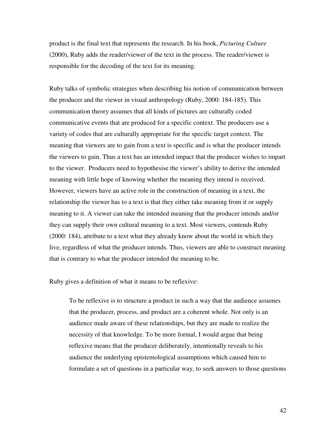product is the final text that represents the research. In his book, *Picturing Culture* (2000), Ruby adds the reader/viewer of the text in the process. The reader/viewer is responsible for the decoding of the text for its meaning.

Ruby talks of symbolic strategies when describing his notion of communication between the producer and the viewer in visual anthropology (Ruby, 2000: 184-185). This communication theory assumes that all kinds of pictures are culturally coded communicative events that are produced for a specific context. The producers use a variety of codes that are culturally appropriate for the specific target context. The meaning that viewers are to gain from a text is specific and is what the producer intends the viewers to gain. Thus a text has an intended impact that the producer wishes to impart to the viewer. Producers need to hypothesise the viewer's ability to derive the intended meaning with little hope of knowing whether the meaning they intend is received. However, viewers have an active role in the construction of meaning in a text, the relationship the viewer has to a text is that they either take meaning from it or supply meaning to it. A viewer can take the intended meaning that the producer intends and/or they can supply their own cultural meaning to a text. Most viewers, contends Ruby (2000: 184), attribute to a text what they already know about the world in which they live, regardless of what the producer intends. Thus, viewers are able to construct meaning that is contrary to what the producer intended the meaning to be.

Ruby gives a definition of what it means to be reflexive:

To be reflexive is to structure a product in such a way that the audience assumes that the producer, process, and product are a coherent whole. Not only is an audience made aware of these relationships, but they are made to realize the necessity of that knowledge. To be more formal, I would argue that being reflexive means that the producer deliberately, intentionally reveals to his audience the underlying epistemological assumptions which caused him to formulate a set of questions in a particular way, to seek answers to those questions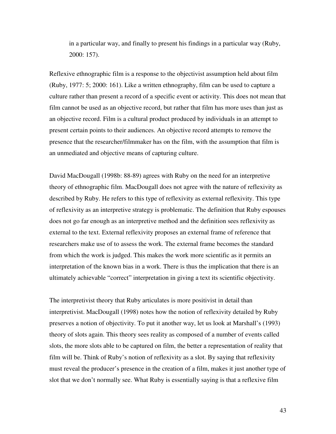in a particular way, and finally to present his findings in a particular way (Ruby, 2000: 157).

Reflexive ethnographic film is a response to the objectivist assumption held about film (Ruby, 1977: 5; 2000: 161). Like a written ethnography, film can be used to capture a culture rather than present a record of a specific event or activity. This does not mean that film cannot be used as an objective record, but rather that film has more uses than just as an objective record. Film is a cultural product produced by individuals in an attempt to present certain points to their audiences. An objective record attempts to remove the presence that the researcher/filmmaker has on the film, with the assumption that film is an unmediated and objective means of capturing culture.

David MacDougall (1998b: 88-89) agrees with Ruby on the need for an interpretive theory of ethnographic film. MacDougall does not agree with the nature of reflexivity as described by Ruby. He refers to this type of reflexivity as external reflexivity. This type of reflexivity as an interpretive strategy is problematic. The definition that Ruby espouses does not go far enough as an interpretive method and the definition sees reflexivity as external to the text. External reflexivity proposes an external frame of reference that researchers make use of to assess the work. The external frame becomes the standard from which the work is judged. This makes the work more scientific as it permits an interpretation of the known bias in a work. There is thus the implication that there is an ultimately achievable "correct" interpretation in giving a text its scientific objectivity.

The interpretivist theory that Ruby articulates is more positivist in detail than interpretivist. MacDougall (1998) notes how the notion of reflexivity detailed by Ruby preserves a notion of objectivity. To put it another way, let us look at Marshall's (1993) theory of slots again. This theory sees reality as composed of a number of events called slots, the more slots able to be captured on film, the better a representation of reality that film will be. Think of Ruby's notion of reflexivity as a slot. By saying that reflexivity must reveal the producer's presence in the creation of a film, makes it just another type of slot that we don't normally see. What Ruby is essentially saying is that a reflexive film

43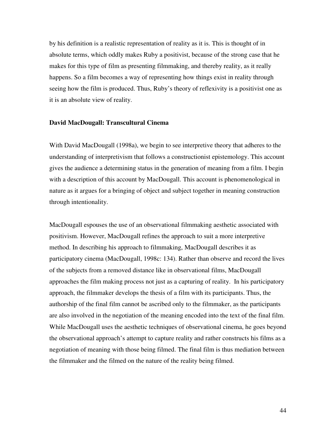by his definition is a realistic representation of reality as it is. This is thought of in absolute terms, which oddly makes Ruby a positivist, because of the strong case that he makes for this type of film as presenting filmmaking, and thereby reality, as it really happens. So a film becomes a way of representing how things exist in reality through seeing how the film is produced. Thus, Ruby's theory of reflexivity is a positivist one as it is an absolute view of reality.

#### **David MacDougall: Transcultural Cinema**

With David MacDougall (1998a), we begin to see interpretive theory that adheres to the understanding of interpretivism that follows a constructionist epistemology. This account gives the audience a determining status in the generation of meaning from a film. I begin with a description of this account by MacDougall. This account is phenomenological in nature as it argues for a bringing of object and subject together in meaning construction through intentionality.

MacDougall espouses the use of an observational filmmaking aesthetic associated with positivism. However, MacDougall refines the approach to suit a more interpretive method. In describing his approach to filmmaking, MacDougall describes it as participatory cinema (MacDougall, 1998c: 134). Rather than observe and record the lives of the subjects from a removed distance like in observational films, MacDougall approaches the film making process not just as a capturing of reality. In his participatory approach, the filmmaker develops the thesis of a film with its participants. Thus, the authorship of the final film cannot be ascribed only to the filmmaker, as the participants are also involved in the negotiation of the meaning encoded into the text of the final film. While MacDougall uses the aesthetic techniques of observational cinema, he goes beyond the observational approach's attempt to capture reality and rather constructs his films as a negotiation of meaning with those being filmed. The final film is thus mediation between the filmmaker and the filmed on the nature of the reality being filmed.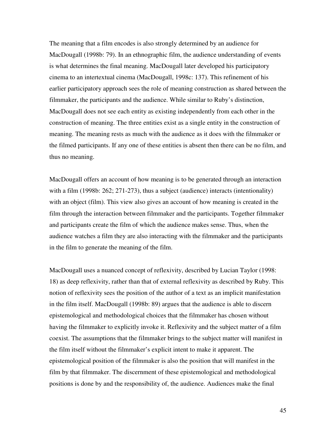The meaning that a film encodes is also strongly determined by an audience for MacDougall (1998b: 79). In an ethnographic film, the audience understanding of events is what determines the final meaning. MacDougall later developed his participatory cinema to an intertextual cinema (MacDougall, 1998c: 137). This refinement of his earlier participatory approach sees the role of meaning construction as shared between the filmmaker, the participants and the audience. While similar to Ruby's distinction, MacDougall does not see each entity as existing independently from each other in the construction of meaning. The three entities exist as a single entity in the construction of meaning. The meaning rests as much with the audience as it does with the filmmaker or the filmed participants. If any one of these entities is absent then there can be no film, and thus no meaning.

MacDougall offers an account of how meaning is to be generated through an interaction with a film (1998b: 262; 271-273), thus a subject (audience) interacts (intentionality) with an object (film). This view also gives an account of how meaning is created in the film through the interaction between filmmaker and the participants. Together filmmaker and participants create the film of which the audience makes sense. Thus, when the audience watches a film they are also interacting with the filmmaker and the participants in the film to generate the meaning of the film.

MacDougall uses a nuanced concept of reflexivity, described by Lucian Taylor (1998: 18) as deep reflexivity, rather than that of external reflexivity as described by Ruby. This notion of reflexivity sees the position of the author of a text as an implicit manifestation in the film itself. MacDougall (1998b: 89) argues that the audience is able to discern epistemological and methodological choices that the filmmaker has chosen without having the filmmaker to explicitly invoke it. Reflexivity and the subject matter of a film coexist. The assumptions that the filmmaker brings to the subject matter will manifest in the film itself without the filmmaker's explicit intent to make it apparent. The epistemological position of the filmmaker is also the position that will manifest in the film by that filmmaker. The discernment of these epistemological and methodological positions is done by and the responsibility of, the audience. Audiences make the final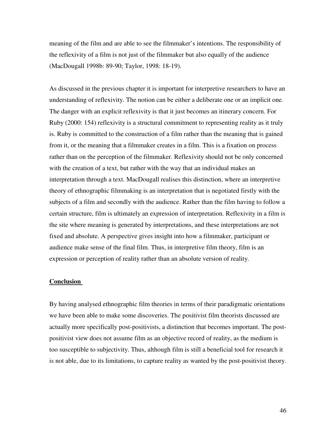meaning of the film and are able to see the filmmaker's intentions. The responsibility of the reflexivity of a film is not just of the filmmaker but also equally of the audience (MacDougall 1998b: 89-90; Taylor, 1998: 18-19).

As discussed in the previous chapter it is important for interpretive researchers to have an understanding of reflexivity. The notion can be either a deliberate one or an implicit one. The danger with an explicit reflexivity is that it just becomes an itinerary concern. For Ruby (2000: 154) reflexivity is a structural commitment to representing reality as it truly is. Ruby is committed to the construction of a film rather than the meaning that is gained from it, or the meaning that a filmmaker creates in a film. This is a fixation on process rather than on the perception of the filmmaker. Reflexivity should not be only concerned with the creation of a text, but rather with the way that an individual makes an interpretation through a text. MacDougall realises this distinction, where an interpretive theory of ethnographic filmmaking is an interpretation that is negotiated firstly with the subjects of a film and secondly with the audience. Rather than the film having to follow a certain structure, film is ultimately an expression of interpretation. Reflexivity in a film is the site where meaning is generated by interpretations, and these interpretations are not fixed and absolute. A perspective gives insight into how a filmmaker, participant or audience make sense of the final film. Thus, in interpretive film theory, film is an expression or perception of reality rather than an absolute version of reality.

## **Conclusion**

By having analysed ethnographic film theories in terms of their paradigmatic orientations we have been able to make some discoveries. The positivist film theorists discussed are actually more specifically post-positivists, a distinction that becomes important. The postpositivist view does not assume film as an objective record of reality, as the medium is too susceptible to subjectivity. Thus, although film is still a beneficial tool for research it is not able, due to its limitations, to capture reality as wanted by the post-positivist theory.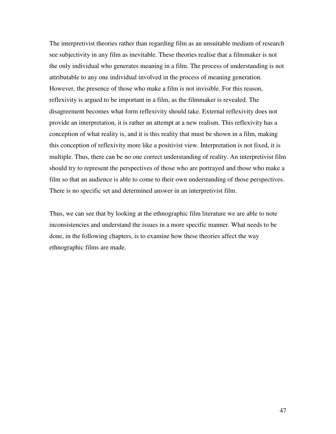The interpretivist theories rather than regarding film as an unsuitable medium of research see subjectivity in any film as inevitable. These theories realise that a filmmaker is not the only individual who generates meaning in a film. The process of understanding is not attributable to any one individual involved in the process of meaning generation. However, the presence of those who make a film is not invisible. For this reason, reflexivity is argued to be important in a film, as the filmmaker is revealed. The disagreement becomes what form reflexivity should take. External reflexivity does not provide an interpretation, it is rather an attempt at a new realism. This reflexivity has a conception of what reality is, and it is this reality that must be shown in a film, making this conception of reflexivity more like a positivist view. Interpretation is not fixed, it is multiple. Thus, there can be no one correct understanding of reality. An interpretivist film should try to represent the perspectives of those who are portrayed and those who make a film so that an audience is able to come to their own understanding of those perspectives. There is no specific set and determined answer in an interpretivist film.

Thus, we can see that by looking at the ethnographic film literature we are able to note inconsistencies and understand the issues in a more specific manner. What needs to be done, in the following chapters, is to examine how these theories affect the way ethnographic films are made.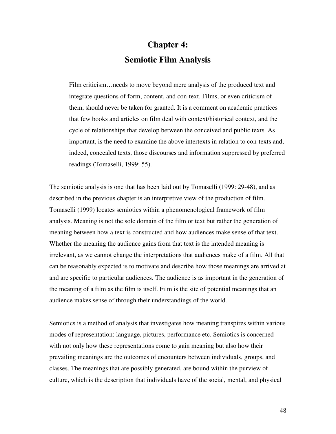## **Chapter 4: Semiotic Film Analysis**

Film criticism…needs to move beyond mere analysis of the produced text and integrate questions of form, content, and con-text. Films, or even criticism of them, should never be taken for granted. It is a comment on academic practices that few books and articles on film deal with context/historical context, and the cycle of relationships that develop between the conceived and public texts. As important, is the need to examine the above intertexts in relation to con-texts and, indeed, concealed texts, those discourses and information suppressed by preferred readings (Tomaselli, 1999: 55).

The semiotic analysis is one that has been laid out by Tomaselli (1999: 29-48), and as described in the previous chapter is an interpretive view of the production of film. Tomaselli (1999) locates semiotics within a phenomenological framework of film analysis. Meaning is not the sole domain of the film or text but rather the generation of meaning between how a text is constructed and how audiences make sense of that text. Whether the meaning the audience gains from that text is the intended meaning is irrelevant, as we cannot change the interpretations that audiences make of a film. All that can be reasonably expected is to motivate and describe how those meanings are arrived at and are specific to particular audiences. The audience is as important in the generation of the meaning of a film as the film is itself. Film is the site of potential meanings that an audience makes sense of through their understandings of the world.

Semiotics is a method of analysis that investigates how meaning transpires within various modes of representation: language, pictures, performance etc. Semiotics is concerned with not only how these representations come to gain meaning but also how their prevailing meanings are the outcomes of encounters between individuals, groups, and classes. The meanings that are possibly generated, are bound within the purview of culture, which is the description that individuals have of the social, mental, and physical

48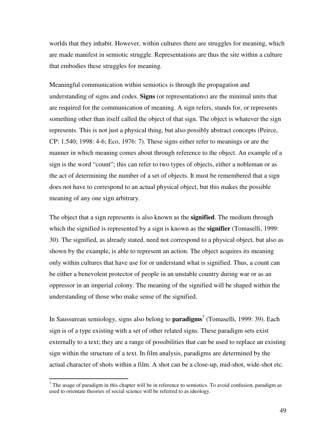worlds that they inhabit. However, within cultures there are struggles for meaning, which are made manifest in semiotic struggle. Representations are thus the site within a culture that embodies these struggles for meaning.

Meaningful communication within semiotics is through the propagation and understanding of signs and codes. **Signs** (or representations) are the minimal units that are required for the communication of meaning. A sign refers, stands for, or represents something other than itself called the object of that sign. The object is whatever the sign represents. This is not just a physical thing, but also possibly abstract concepts (Peirce, CP: 1.540; 1998: 4-6; Eco, 1976: 7). These signs either refer to meanings or are the manner in which meaning comes about through reference to the object. An example of a sign is the word "count"; this can refer to two types of objects, either a nobleman or as the act of determining the number of a set of objects. It must be remembered that a sign does not have to correspond to an actual physical object, but this makes the possible meaning of any one sign arbitrary.

The object that a sign represents is also known as the **signified**. The medium through which the signified is represented by a sign is known as the **signifier** (Tomaselli, 1999: 30). The signified, as already stated, need not correspond to a physical object, but also as shown by the example, is able to represent an action. The object acquires its meaning only within cultures that have use for or understand what is signified. Thus, a count can be either a benevolent protector of people in an unstable country during war or as an oppressor in an imperial colony. The meaning of the signified will be shaped within the understanding of those who make sense of the signified.

In Saussurean semiology, signs also belong to **paradigms**<sup>7</sup> (Tomaselli, 1999: 39). Each sign is of a type existing with a set of other related signs. These paradigm sets exist externally to a text; they are a range of possibilities that can be used to replace an existing sign within the structure of a text. In film analysis, paradigms are determined by the actual character of shots within a film. A shot can be a close-up, mid-shot, wide-shot etc.

The usage of paradigm in this chapter will be in reference to semiotics. To avoid confusion, paradigm as  $\frac{1}{2}$ used to orientate theories of social science will be referred to as ideology.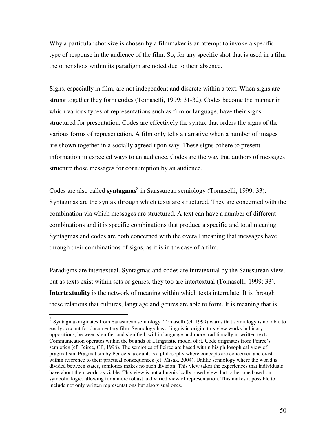Why a particular shot size is chosen by a filmmaker is an attempt to invoke a specific type of response in the audience of the film. So, for any specific shot that is used in a film the other shots within its paradigm are noted due to their absence.

Signs, especially in film, are not independent and discrete within a text. When signs are strung together they form **codes** (Tomaselli, 1999: 31-32). Codes become the manner in which various types of representations such as film or language, have their signs structured for presentation. Codes are effectively the syntax that orders the signs of the various forms of representation. A film only tells a narrative when a number of images are shown together in a socially agreed upon way. These signs cohere to present information in expected ways to an audience. Codes are the way that authors of messages structure those messages for consumption by an audience.

Codes are also called **syntagmas<sup>8</sup>** in Saussurean semiology (Tomaselli, 1999: 33). Syntagmas are the syntax through which texts are structured. They are concerned with the combination via which messages are structured. A text can have a number of different combinations and it is specific combinations that produce a specific and total meaning. Syntagmas and codes are both concerned with the overall meaning that messages have through their combinations of signs, as it is in the case of a film.

Paradigms are intertextual. Syntagmas and codes are intratextual by the Saussurean view, but as texts exist within sets or genres, they too are intertextual (Tomaselli, 1999: 33). **Intertextuality** is the network of meaning within which texts interrelate. It is through these relations that cultures, language and genres are able to form. It is meaning that is

 8 Syntagma originates from Saussurean semiology. Tomaselli (cf. 1999) warns that semiology is not able to easily account for documentary film. Semiology has a linguistic origin; this view works in binary oppositions, between signifier and signified, within language and more traditionally in written texts. Communication operates within the bounds of a linguistic model of it. Code originates from Peirce's semiotics (cf. Peirce, CP, 1998). The semiotics of Peirce are based within his philosophical view of pragmatism. Pragmatism by Peirce's account, is a philosophy where concepts are conceived and exist within reference to their practical consequences (cf. Misak, 2004). Unlike semiology where the world is divided between states, semiotics makes no such division. This view takes the experiences that individuals have about their world as viable. This view is not a linguistically based view, but rather one based on symbolic logic, allowing for a more robust and varied view of representation. This makes it possible to include not only written representations but also visual ones.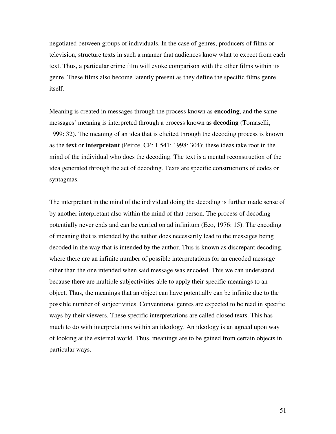negotiated between groups of individuals. In the case of genres, producers of films or television, structure texts in such a manner that audiences know what to expect from each text. Thus, a particular crime film will evoke comparison with the other films within its genre. These films also become latently present as they define the specific films genre itself.

Meaning is created in messages through the process known as **encoding**, and the same messages' meaning is interpreted through a process known as **decoding** (Tomaselli, 1999: 32). The meaning of an idea that is elicited through the decoding process is known as the **text** or **interpretant** (Peirce, CP: 1.541; 1998: 304); these ideas take root in the mind of the individual who does the decoding. The text is a mental reconstruction of the idea generated through the act of decoding. Texts are specific constructions of codes or syntagmas.

The interpretant in the mind of the individual doing the decoding is further made sense of by another interpretant also within the mind of that person. The process of decoding potentially never ends and can be carried on ad infinitum (Eco, 1976: 15). The encoding of meaning that is intended by the author does necessarily lead to the messages being decoded in the way that is intended by the author. This is known as discrepant decoding, where there are an infinite number of possible interpretations for an encoded message other than the one intended when said message was encoded. This we can understand because there are multiple subjectivities able to apply their specific meanings to an object. Thus, the meanings that an object can have potentially can be infinite due to the possible number of subjectivities. Conventional genres are expected to be read in specific ways by their viewers. These specific interpretations are called closed texts. This has much to do with interpretations within an ideology. An ideology is an agreed upon way of looking at the external world. Thus, meanings are to be gained from certain objects in particular ways.

51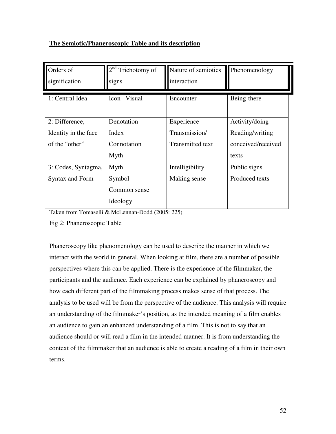## **The Semiotic/Phaneroscopic Table and its description**

| Orders of<br>signification | 2 <sup>nd</sup><br>Trichotomy of<br>signs | Nature of semiotics<br>interaction | Phenomenology      |
|----------------------------|-------------------------------------------|------------------------------------|--------------------|
|                            |                                           |                                    |                    |
| 1: Central Idea            | Icon – Visual                             | Encounter                          | Being-there        |
|                            |                                           |                                    |                    |
| 2: Difference,             | Denotation                                | Experience                         | Activity/doing     |
| Identity in the face       | Index                                     | Transmission/                      | Reading/writing    |
| of the "other"             | Connotation                               | Transmitted text                   | conceived/received |
|                            | Myth                                      |                                    | texts              |
| 3: Codes, Syntagma,        | Myth                                      | Intelligibility                    | Public signs       |
| <b>Syntax and Form</b>     | Symbol                                    | Making sense                       | Produced texts     |
|                            | Common sense                              |                                    |                    |
|                            | Ideology                                  |                                    |                    |

Taken from Tomaselli & McLennan-Dodd (2005: 225)

Fig 2: Phaneroscopic Table

Phaneroscopy like phenomenology can be used to describe the manner in which we interact with the world in general. When looking at film, there are a number of possible perspectives where this can be applied. There is the experience of the filmmaker, the participants and the audience. Each experience can be explained by phaneroscopy and how each different part of the filmmaking process makes sense of that process. The analysis to be used will be from the perspective of the audience. This analysis will require an understanding of the filmmaker's position, as the intended meaning of a film enables an audience to gain an enhanced understanding of a film. This is not to say that an audience should or will read a film in the intended manner. It is from understanding the context of the filmmaker that an audience is able to create a reading of a film in their own terms.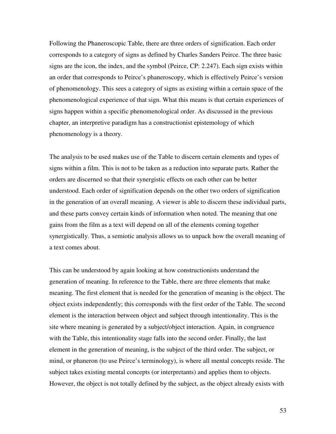Following the Phaneroscopic Table, there are three orders of signification. Each order corresponds to a category of signs as defined by Charles Sanders Peirce. The three basic signs are the icon, the index, and the symbol (Peirce, CP: 2.247). Each sign exists within an order that corresponds to Peirce's phaneroscopy, which is effectively Peirce's version of phenomenology. This sees a category of signs as existing within a certain space of the phenomenological experience of that sign. What this means is that certain experiences of signs happen within a specific phenomenological order. As discussed in the previous chapter, an interpretive paradigm has a constructionist epistemology of which phenomenology is a theory.

The analysis to be used makes use of the Table to discern certain elements and types of signs within a film. This is not to be taken as a reduction into separate parts. Rather the orders are discerned so that their synergistic effects on each other can be better understood. Each order of signification depends on the other two orders of signification in the generation of an overall meaning. A viewer is able to discern these individual parts, and these parts convey certain kinds of information when noted. The meaning that one gains from the film as a text will depend on all of the elements coming together synergistically. Thus, a semiotic analysis allows us to unpack how the overall meaning of a text comes about.

This can be understood by again looking at how constructionists understand the generation of meaning. In reference to the Table, there are three elements that make meaning. The first element that is needed for the generation of meaning is the object. The object exists independently; this corresponds with the first order of the Table. The second element is the interaction between object and subject through intentionality. This is the site where meaning is generated by a subject/object interaction. Again, in congruence with the Table, this intentionality stage falls into the second order. Finally, the last element in the generation of meaning, is the subject of the third order. The subject, or mind, or phaneron (to use Peirce's terminology), is where all mental concepts reside. The subject takes existing mental concepts (or interpretants) and applies them to objects. However, the object is not totally defined by the subject, as the object already exists with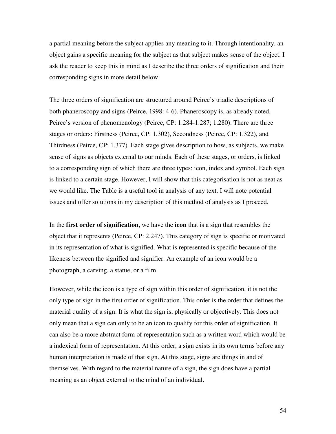a partial meaning before the subject applies any meaning to it. Through intentionality, an object gains a specific meaning for the subject as that subject makes sense of the object. I ask the reader to keep this in mind as I describe the three orders of signification and their corresponding signs in more detail below.

The three orders of signification are structured around Peirce's triadic descriptions of both phaneroscopy and signs (Peirce, 1998: 4-6). Phaneroscopy is, as already noted, Peirce's version of phenomenology (Peirce, CP: 1.284-1.287; 1.280). There are three stages or orders: Firstness (Peirce, CP: 1.302), Secondness (Peirce, CP: 1.322), and Thirdness (Peirce, CP: 1.377). Each stage gives description to how, as subjects, we make sense of signs as objects external to our minds. Each of these stages, or orders, is linked to a corresponding sign of which there are three types: icon, index and symbol. Each sign is linked to a certain stage. However, I will show that this categorisation is not as neat as we would like. The Table is a useful tool in analysis of any text. I will note potential issues and offer solutions in my description of this method of analysis as I proceed.

In the **first order of signification,** we have the **icon** that is a sign that resembles the object that it represents (Peirce, CP: 2.247). This category of sign is specific or motivated in its representation of what is signified. What is represented is specific because of the likeness between the signified and signifier. An example of an icon would be a photograph, a carving, a statue, or a film.

However, while the icon is a type of sign within this order of signification, it is not the only type of sign in the first order of signification. This order is the order that defines the material quality of a sign. It is what the sign is, physically or objectively. This does not only mean that a sign can only to be an icon to qualify for this order of signification. It can also be a more abstract form of representation such as a written word which would be a indexical form of representation. At this order, a sign exists in its own terms before any human interpretation is made of that sign. At this stage, signs are things in and of themselves. With regard to the material nature of a sign, the sign does have a partial meaning as an object external to the mind of an individual.

54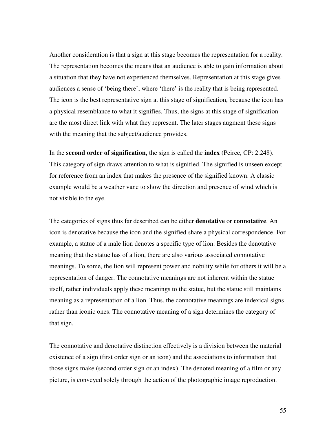Another consideration is that a sign at this stage becomes the representation for a reality. The representation becomes the means that an audience is able to gain information about a situation that they have not experienced themselves. Representation at this stage gives audiences a sense of 'being there', where 'there' is the reality that is being represented. The icon is the best representative sign at this stage of signification, because the icon has a physical resemblance to what it signifies. Thus, the signs at this stage of signification are the most direct link with what they represent. The later stages augment these signs with the meaning that the subject/audience provides.

In the **second order of signification,** the sign is called the **index** (Peirce, CP: 2.248). This category of sign draws attention to what is signified. The signified is unseen except for reference from an index that makes the presence of the signified known. A classic example would be a weather vane to show the direction and presence of wind which is not visible to the eye.

The categories of signs thus far described can be either **denotative** or **connotative**. An icon is denotative because the icon and the signified share a physical correspondence. For example, a statue of a male lion denotes a specific type of lion. Besides the denotative meaning that the statue has of a lion, there are also various associated connotative meanings. To some, the lion will represent power and nobility while for others it will be a representation of danger. The connotative meanings are not inherent within the statue itself, rather individuals apply these meanings to the statue, but the statue still maintains meaning as a representation of a lion. Thus, the connotative meanings are indexical signs rather than iconic ones. The connotative meaning of a sign determines the category of that sign.

The connotative and denotative distinction effectively is a division between the material existence of a sign (first order sign or an icon) and the associations to information that those signs make (second order sign or an index). The denoted meaning of a film or any picture, is conveyed solely through the action of the photographic image reproduction.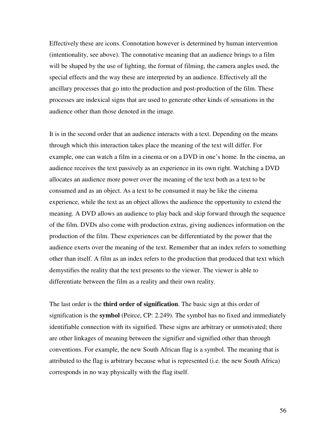Effectively these are icons. Connotation however is determined by human intervention (intentionality, see above). The connotative meaning that an audience brings to a film will be shaped by the use of lighting, the format of filming, the camera angles used, the special effects and the way these are interpreted by an audience. Effectively all the ancillary processes that go into the production and post-production of the film. These processes are indexical signs that are used to generate other kinds of sensations in the audience other than those denoted in the image.

It is in the second order that an audience interacts with a text. Depending on the means through which this interaction takes place the meaning of the text will differ. For example, one can watch a film in a cinema or on a DVD in one's home. In the cinema, an audience receives the text passively as an experience in its own right. Watching a DVD allocates an audience more power over the meaning of the text both as a text to be consumed and as an object. As a text to be consumed it may be like the cinema experience, while the text as an object allows the audience the opportunity to extend the meaning. A DVD allows an audience to play back and skip forward through the sequence of the film. DVDs also come with production extras, giving audiences information on the production of the film. These experiences can be differentiated by the power that the audience exerts over the meaning of the text. Remember that an index refers to something other than itself. A film as an index refers to the production that produced that text which demystifies the reality that the text presents to the viewer. The viewer is able to differentiate between the film as a reality and their own reality.

The last order is the **third order of signification**. The basic sign at this order of signification is the **symbol** (Peirce, CP: 2.249). The symbol has no fixed and immediately identifiable connection with its signified. These signs are arbitrary or unmotivated; there are other linkages of meaning between the signifier and signified other than through conventions. For example, the new South African flag is a symbol. The meaning that is attributed to the flag is arbitrary because what is represented (i.e. the new South Africa) corresponds in no way physically with the flag itself.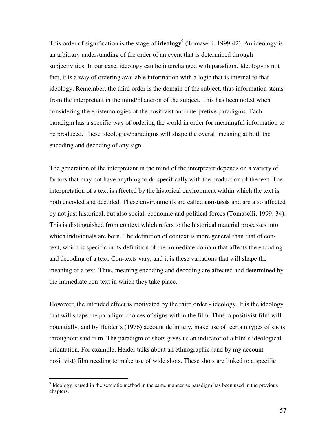This order of signification is the stage of **ideology**<sup>9</sup> (Tomaselli, 1999:42). An ideology is an arbitrary understanding of the order of an event that is determined through subjectivities. In our case, ideology can be interchanged with paradigm. Ideology is not fact, it is a way of ordering available information with a logic that is internal to that ideology. Remember, the third order is the domain of the subject, thus information stems from the interpretant in the mind/phaneron of the subject. This has been noted when considering the epistemologies of the positivist and interpretive paradigms. Each paradigm has a specific way of ordering the world in order for meaningful information to be produced. These ideologies/paradigms will shape the overall meaning at both the encoding and decoding of any sign.

The generation of the interpretant in the mind of the interpreter depends on a variety of factors that may not have anything to do specifically with the production of the text. The interpretation of a text is affected by the historical environment within which the text is both encoded and decoded. These environments are called **con-texts** and are also affected by not just historical, but also social, economic and political forces (Tomaselli, 1999: 34). This is distinguished from context which refers to the historical material processes into which individuals are born. The definition of context is more general than that of context, which is specific in its definition of the immediate domain that affects the encoding and decoding of a text. Con-texts vary, and it is these variations that will shape the meaning of a text. Thus, meaning encoding and decoding are affected and determined by the immediate con-text in which they take place.

However, the intended effect is motivated by the third order - ideology. It is the ideology that will shape the paradigm choices of signs within the film. Thus, a positivist film will potentially, and by Heider's (1976) account definitely, make use of certain types of shots throughout said film. The paradigm of shots gives us an indicator of a film's ideological orientation. For example, Heider talks about an ethnographic (and by my account positivist) film needing to make use of wide shots. These shots are linked to a specific

<sup>&</sup>lt;sup>9</sup> Ideology is used in the semiotic method in the same manner as paradigm has been used in the previous chapters.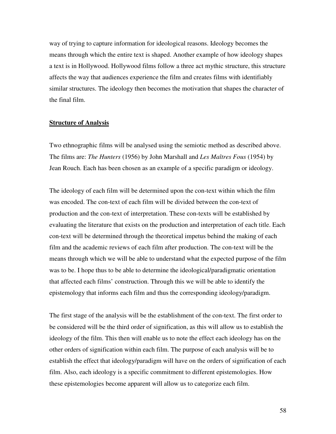way of trying to capture information for ideological reasons. Ideology becomes the means through which the entire text is shaped. Another example of how ideology shapes a text is in Hollywood. Hollywood films follow a three act mythic structure, this structure affects the way that audiences experience the film and creates films with identifiably similar structures. The ideology then becomes the motivation that shapes the character of the final film.

#### **Structure of Analysis**

Two ethnographic films will be analysed using the semiotic method as described above. The films are: *The Hunters* (1956) by John Marshall and *Les Maîtres Fous* (1954) by Jean Rouch. Each has been chosen as an example of a specific paradigm or ideology.

The ideology of each film will be determined upon the con-text within which the film was encoded. The con-text of each film will be divided between the con-text of production and the con-text of interpretation. These con-texts will be established by evaluating the literature that exists on the production and interpretation of each title. Each con-text will be determined through the theoretical impetus behind the making of each film and the academic reviews of each film after production. The con-text will be the means through which we will be able to understand what the expected purpose of the film was to be. I hope thus to be able to determine the ideological/paradigmatic orientation that affected each films' construction. Through this we will be able to identify the epistemology that informs each film and thus the corresponding ideology/paradigm.

The first stage of the analysis will be the establishment of the con-text. The first order to be considered will be the third order of signification, as this will allow us to establish the ideology of the film. This then will enable us to note the effect each ideology has on the other orders of signification within each film. The purpose of each analysis will be to establish the effect that ideology/paradigm will have on the orders of signification of each film. Also, each ideology is a specific commitment to different epistemologies. How these epistemologies become apparent will allow us to categorize each film.

58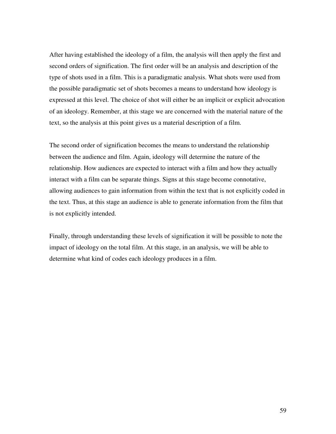After having established the ideology of a film, the analysis will then apply the first and second orders of signification. The first order will be an analysis and description of the type of shots used in a film. This is a paradigmatic analysis. What shots were used from the possible paradigmatic set of shots becomes a means to understand how ideology is expressed at this level. The choice of shot will either be an implicit or explicit advocation of an ideology. Remember, at this stage we are concerned with the material nature of the text, so the analysis at this point gives us a material description of a film.

The second order of signification becomes the means to understand the relationship between the audience and film. Again, ideology will determine the nature of the relationship. How audiences are expected to interact with a film and how they actually interact with a film can be separate things. Signs at this stage become connotative, allowing audiences to gain information from within the text that is not explicitly coded in the text. Thus, at this stage an audience is able to generate information from the film that is not explicitly intended.

Finally, through understanding these levels of signification it will be possible to note the impact of ideology on the total film. At this stage, in an analysis, we will be able to determine what kind of codes each ideology produces in a film.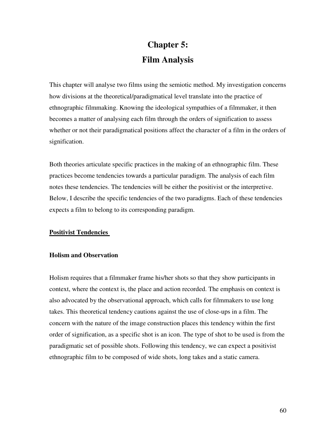# **Chapter 5: Film Analysis**

This chapter will analyse two films using the semiotic method. My investigation concerns how divisions at the theoretical/paradigmatical level translate into the practice of ethnographic filmmaking. Knowing the ideological sympathies of a filmmaker, it then becomes a matter of analysing each film through the orders of signification to assess whether or not their paradigmatical positions affect the character of a film in the orders of signification.

Both theories articulate specific practices in the making of an ethnographic film. These practices become tendencies towards a particular paradigm. The analysis of each film notes these tendencies. The tendencies will be either the positivist or the interpretive. Below, I describe the specific tendencies of the two paradigms. Each of these tendencies expects a film to belong to its corresponding paradigm.

### **Positivist Tendencies**

### **Holism and Observation**

Holism requires that a filmmaker frame his/her shots so that they show participants in context, where the context is, the place and action recorded. The emphasis on context is also advocated by the observational approach, which calls for filmmakers to use long takes. This theoretical tendency cautions against the use of close-ups in a film. The concern with the nature of the image construction places this tendency within the first order of signification, as a specific shot is an icon. The type of shot to be used is from the paradigmatic set of possible shots. Following this tendency, we can expect a positivist ethnographic film to be composed of wide shots, long takes and a static camera.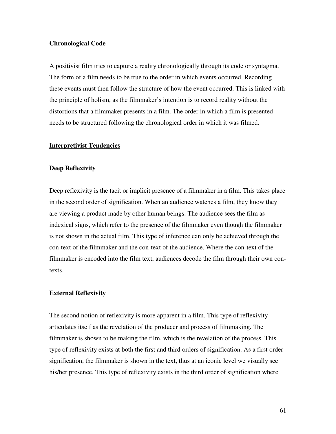## **Chronological Code**

A positivist film tries to capture a reality chronologically through its code or syntagma. The form of a film needs to be true to the order in which events occurred. Recording these events must then follow the structure of how the event occurred. This is linked with the principle of holism, as the filmmaker's intention is to record reality without the distortions that a filmmaker presents in a film. The order in which a film is presented needs to be structured following the chronological order in which it was filmed.

#### **Interpretivist Tendencies**

#### **Deep Reflexivity**

Deep reflexivity is the tacit or implicit presence of a filmmaker in a film. This takes place in the second order of signification. When an audience watches a film, they know they are viewing a product made by other human beings. The audience sees the film as indexical signs, which refer to the presence of the filmmaker even though the filmmaker is not shown in the actual film. This type of inference can only be achieved through the con-text of the filmmaker and the con-text of the audience. Where the con-text of the filmmaker is encoded into the film text, audiences decode the film through their own contexts.

#### **External Reflexivity**

The second notion of reflexivity is more apparent in a film. This type of reflexivity articulates itself as the revelation of the producer and process of filmmaking. The filmmaker is shown to be making the film, which is the revelation of the process. This type of reflexivity exists at both the first and third orders of signification. As a first order signification, the filmmaker is shown in the text, thus at an iconic level we visually see his/her presence. This type of reflexivity exists in the third order of signification where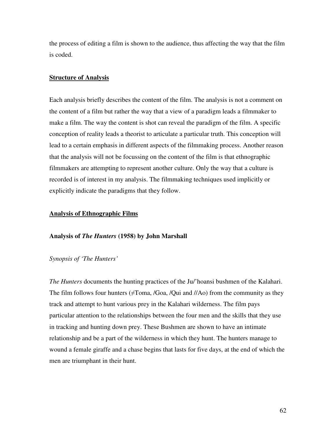the process of editing a film is shown to the audience, thus affecting the way that the film is coded.

#### **Structure of Analysis**

Each analysis briefly describes the content of the film. The analysis is not a comment on the content of a film but rather the way that a view of a paradigm leads a filmmaker to make a film. The way the content is shot can reveal the paradigm of the film. A specific conception of reality leads a theorist to articulate a particular truth. This conception will lead to a certain emphasis in different aspects of the filmmaking process. Another reason that the analysis will not be focussing on the content of the film is that ethnographic filmmakers are attempting to represent another culture. Only the way that a culture is recorded is of interest in my analysis. The filmmaking techniques used implicitly or explicitly indicate the paradigms that they follow.

#### **Analysis of Ethnographic Films**

#### **Analysis of** *The Hunters* **(1958) by John Marshall**

## *Synopsis of 'The Hunters'*

*The Hunters* documents the hunting practices of the Ju/'hoansi bushmen of the Kalahari. The film follows four hunters ( $\neq$ Toma, /Goa, /Qui and //Ao) from the community as they track and attempt to hunt various prey in the Kalahari wilderness. The film pays particular attention to the relationships between the four men and the skills that they use in tracking and hunting down prey. These Bushmen are shown to have an intimate relationship and be a part of the wilderness in which they hunt. The hunters manage to wound a female giraffe and a chase begins that lasts for five days, at the end of which the men are triumphant in their hunt.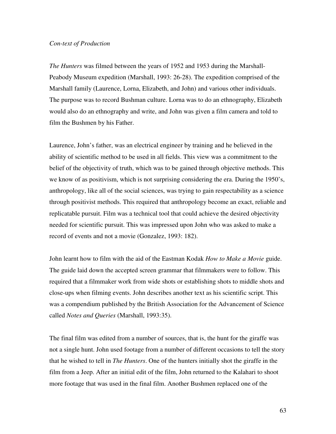## *Con-text of Production*

*The Hunters* was filmed between the years of 1952 and 1953 during the Marshall-Peabody Museum expedition (Marshall, 1993: 26-28). The expedition comprised of the Marshall family (Laurence, Lorna, Elizabeth, and John) and various other individuals. The purpose was to record Bushman culture. Lorna was to do an ethnography, Elizabeth would also do an ethnography and write, and John was given a film camera and told to film the Bushmen by his Father.

Laurence, John's father, was an electrical engineer by training and he believed in the ability of scientific method to be used in all fields. This view was a commitment to the belief of the objectivity of truth, which was to be gained through objective methods. This we know of as positivism, which is not surprising considering the era. During the 1950's, anthropology, like all of the social sciences, was trying to gain respectability as a science through positivist methods. This required that anthropology become an exact, reliable and replicatable pursuit. Film was a technical tool that could achieve the desired objectivity needed for scientific pursuit. This was impressed upon John who was asked to make a record of events and not a movie (Gonzalez, 1993: 182).

John learnt how to film with the aid of the Eastman Kodak *How to Make a Movie* guide. The guide laid down the accepted screen grammar that filmmakers were to follow. This required that a filmmaker work from wide shots or establishing shots to middle shots and close-ups when filming events. John describes another text as his scientific script. This was a compendium published by the British Association for the Advancement of Science called *Notes and Queries* (Marshall, 1993:35).

The final film was edited from a number of sources, that is, the hunt for the giraffe was not a single hunt. John used footage from a number of different occasions to tell the story that he wished to tell in *The Hunters*. One of the hunters initially shot the giraffe in the film from a Jeep. After an initial edit of the film, John returned to the Kalahari to shoot more footage that was used in the final film. Another Bushmen replaced one of the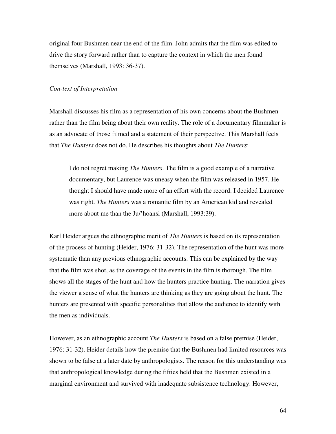original four Bushmen near the end of the film. John admits that the film was edited to drive the story forward rather than to capture the context in which the men found themselves (Marshall, 1993: 36-37).

## *Con-text of Interpretation*

Marshall discusses his film as a representation of his own concerns about the Bushmen rather than the film being about their own reality. The role of a documentary filmmaker is as an advocate of those filmed and a statement of their perspective. This Marshall feels that *The Hunters* does not do. He describes his thoughts about *The Hunters*:

I do not regret making *The Hunters*. The film is a good example of a narrative documentary, but Laurence was uneasy when the film was released in 1957. He thought I should have made more of an effort with the record. I decided Laurence was right. *The Hunters* was a romantic film by an American kid and revealed more about me than the Ju/'hoansi (Marshall, 1993:39).

Karl Heider argues the ethnographic merit of *The Hunters* is based on its representation of the process of hunting (Heider, 1976: 31-32). The representation of the hunt was more systematic than any previous ethnographic accounts. This can be explained by the way that the film was shot, as the coverage of the events in the film is thorough. The film shows all the stages of the hunt and how the hunters practice hunting. The narration gives the viewer a sense of what the hunters are thinking as they are going about the hunt. The hunters are presented with specific personalities that allow the audience to identify with the men as individuals.

However, as an ethnographic account *The Hunters* is based on a false premise (Heider, 1976: 31-32). Heider details how the premise that the Bushmen had limited resources was shown to be false at a later date by anthropologists. The reason for this understanding was that anthropological knowledge during the fifties held that the Bushmen existed in a marginal environment and survived with inadequate subsistence technology. However,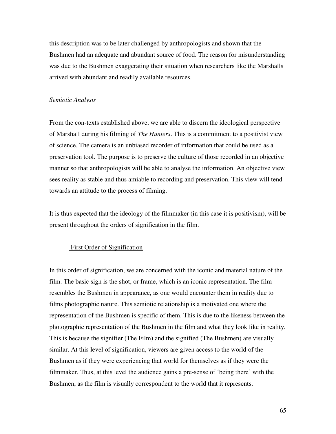this description was to be later challenged by anthropologists and shown that the Bushmen had an adequate and abundant source of food. The reason for misunderstanding was due to the Bushmen exaggerating their situation when researchers like the Marshalls arrived with abundant and readily available resources.

#### *Semiotic Analysis*

From the con-texts established above, we are able to discern the ideological perspective of Marshall during his filming of *The Hunters*. This is a commitment to a positivist view of science. The camera is an unbiased recorder of information that could be used as a preservation tool. The purpose is to preserve the culture of those recorded in an objective manner so that anthropologists will be able to analyse the information. An objective view sees reality as stable and thus amiable to recording and preservation. This view will tend towards an attitude to the process of filming.

It is thus expected that the ideology of the filmmaker (in this case it is positivism), will be present throughout the orders of signification in the film.

## First Order of Signification

In this order of signification, we are concerned with the iconic and material nature of the film. The basic sign is the shot, or frame, which is an iconic representation. The film resembles the Bushmen in appearance, as one would encounter them in reality due to films photographic nature. This semiotic relationship is a motivated one where the representation of the Bushmen is specific of them. This is due to the likeness between the photographic representation of the Bushmen in the film and what they look like in reality. This is because the signifier (The Film) and the signified (The Bushmen) are visually similar. At this level of signification, viewers are given access to the world of the Bushmen as if they were experiencing that world for themselves as if they were the filmmaker. Thus, at this level the audience gains a pre-sense of 'being there' with the Bushmen, as the film is visually correspondent to the world that it represents.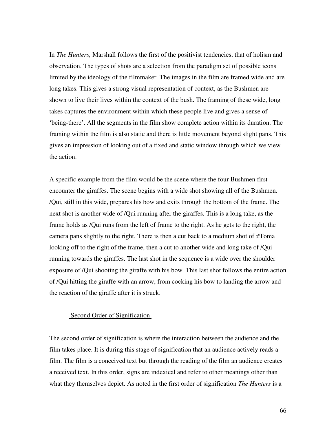In *The Hunters,* Marshall follows the first of the positivist tendencies, that of holism and observation. The types of shots are a selection from the paradigm set of possible icons limited by the ideology of the filmmaker. The images in the film are framed wide and are long takes. This gives a strong visual representation of context, as the Bushmen are shown to live their lives within the context of the bush. The framing of these wide, long takes captures the environment within which these people live and gives a sense of 'being-there'. All the segments in the film show complete action within its duration. The framing within the film is also static and there is little movement beyond slight pans. This gives an impression of looking out of a fixed and static window through which we view the action.

A specific example from the film would be the scene where the four Bushmen first encounter the giraffes. The scene begins with a wide shot showing all of the Bushmen. /Qui, still in this wide, prepares his bow and exits through the bottom of the frame. The next shot is another wide of /Qui running after the giraffes. This is a long take, as the frame holds as /Qui runs from the left of frame to the right. As he gets to the right, the camera pans slightly to the right. There is then a cut back to a medium shot of  $\neq$ Toma looking off to the right of the frame, then a cut to another wide and long take of /Qui running towards the giraffes. The last shot in the sequence is a wide over the shoulder exposure of /Qui shooting the giraffe with his bow. This last shot follows the entire action of /Qui hitting the giraffe with an arrow, from cocking his bow to landing the arrow and the reaction of the giraffe after it is struck.

### Second Order of Signification

The second order of signification is where the interaction between the audience and the film takes place. It is during this stage of signification that an audience actively reads a film. The film is a conceived text but through the reading of the film an audience creates a received text. In this order, signs are indexical and refer to other meanings other than what they themselves depict. As noted in the first order of signification *The Hunters* is a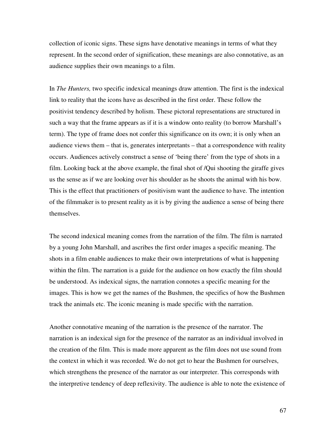collection of iconic signs. These signs have denotative meanings in terms of what they represent. In the second order of signification, these meanings are also connotative, as an audience supplies their own meanings to a film.

In *The Hunters,* two specific indexical meanings draw attention. The first is the indexical link to reality that the icons have as described in the first order. These follow the positivist tendency described by holism. These pictoral representations are structured in such a way that the frame appears as if it is a window onto reality (to borrow Marshall's term). The type of frame does not confer this significance on its own; it is only when an audience views them – that is, generates interpretants – that a correspondence with reality occurs. Audiences actively construct a sense of 'being there' from the type of shots in a film. Looking back at the above example, the final shot of /Qui shooting the giraffe gives us the sense as if we are looking over his shoulder as he shoots the animal with his bow. This is the effect that practitioners of positivism want the audience to have. The intention of the filmmaker is to present reality as it is by giving the audience a sense of being there themselves.

The second indexical meaning comes from the narration of the film. The film is narrated by a young John Marshall, and ascribes the first order images a specific meaning. The shots in a film enable audiences to make their own interpretations of what is happening within the film. The narration is a guide for the audience on how exactly the film should be understood. As indexical signs, the narration connotes a specific meaning for the images. This is how we get the names of the Bushmen, the specifics of how the Bushmen track the animals etc. The iconic meaning is made specific with the narration.

Another connotative meaning of the narration is the presence of the narrator. The narration is an indexical sign for the presence of the narrator as an individual involved in the creation of the film. This is made more apparent as the film does not use sound from the context in which it was recorded. We do not get to hear the Bushmen for ourselves, which strengthens the presence of the narrator as our interpreter. This corresponds with the interpretive tendency of deep reflexivity. The audience is able to note the existence of

67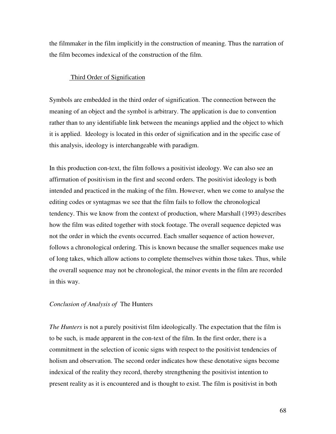the filmmaker in the film implicitly in the construction of meaning. Thus the narration of the film becomes indexical of the construction of the film.

## Third Order of Signification

Symbols are embedded in the third order of signification. The connection between the meaning of an object and the symbol is arbitrary. The application is due to convention rather than to any identifiable link between the meanings applied and the object to which it is applied. Ideology is located in this order of signification and in the specific case of this analysis, ideology is interchangeable with paradigm.

In this production con-text, the film follows a positivist ideology. We can also see an affirmation of positivism in the first and second orders. The positivist ideology is both intended and practiced in the making of the film. However, when we come to analyse the editing codes or syntagmas we see that the film fails to follow the chronological tendency. This we know from the context of production, where Marshall (1993) describes how the film was edited together with stock footage. The overall sequence depicted was not the order in which the events occurred. Each smaller sequence of action however, follows a chronological ordering. This is known because the smaller sequences make use of long takes, which allow actions to complete themselves within those takes. Thus, while the overall sequence may not be chronological, the minor events in the film are recorded in this way.

## *Conclusion of Analysis of* The Hunters

*The Hunters* is not a purely positivist film ideologically. The expectation that the film is to be such, is made apparent in the con-text of the film. In the first order, there is a commitment in the selection of iconic signs with respect to the positivist tendencies of holism and observation. The second order indicates how these denotative signs become indexical of the reality they record, thereby strengthening the positivist intention to present reality as it is encountered and is thought to exist. The film is positivist in both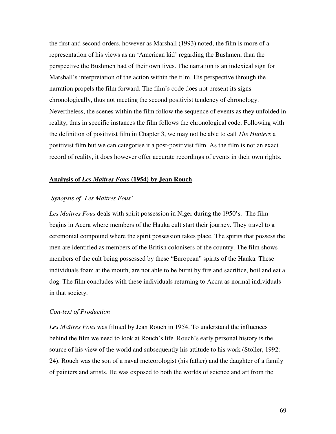the first and second orders, however as Marshall (1993) noted, the film is more of a representation of his views as an 'American kid' regarding the Bushmen, than the perspective the Bushmen had of their own lives. The narration is an indexical sign for Marshall's interpretation of the action within the film. His perspective through the narration propels the film forward. The film's code does not present its signs chronologically, thus not meeting the second positivist tendency of chronology. Nevertheless, the scenes within the film follow the sequence of events as they unfolded in reality, thus in specific instances the film follows the chronological code. Following with the definition of positivist film in Chapter 3, we may not be able to call *The Hunters* a positivist film but we can categorise it a post-positivist film. As the film is not an exact record of reality, it does however offer accurate recordings of events in their own rights.

#### **Analysis of** *Les Maîtres Fous* **(1954) by Jean Rouch**

## *Synopsis of 'Les Maîtres Fous'*

*Les Maîtres Fous* deals with spirit possession in Niger during the 1950's. The film begins in Accra where members of the Hauka cult start their journey. They travel to a ceremonial compound where the spirit possession takes place. The spirits that possess the men are identified as members of the British colonisers of the country. The film shows members of the cult being possessed by these "European" spirits of the Hauka. These individuals foam at the mouth, are not able to be burnt by fire and sacrifice, boil and eat a dog. The film concludes with these individuals returning to Accra as normal individuals in that society.

#### *Con-text of Production*

*Les Maîtres Fous* was filmed by Jean Rouch in 1954. To understand the influences behind the film we need to look at Rouch's life. Rouch's early personal history is the source of his view of the world and subsequently his attitude to his work (Stoller, 1992: 24). Rouch was the son of a naval meteorologist (his father) and the daughter of a family of painters and artists. He was exposed to both the worlds of science and art from the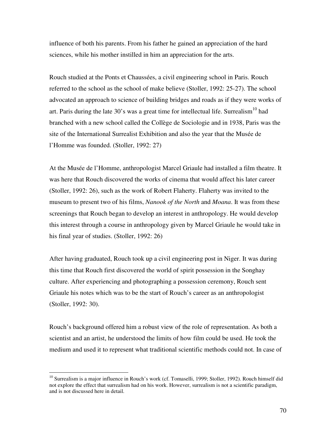influence of both his parents. From his father he gained an appreciation of the hard sciences, while his mother instilled in him an appreciation for the arts.

Rouch studied at the Ponts et Chaussées, a civil engineering school in Paris. Rouch referred to the school as the school of make believe (Stoller, 1992: 25-27). The school advocated an approach to science of building bridges and roads as if they were works of art. Paris during the late  $30$ 's was a great time for intellectual life. Surrealism<sup>10</sup> had branched with a new school called the Collège de Sociologie and in 1938, Paris was the site of the International Surrealist Exhibition and also the year that the Musée de l'Homme was founded. (Stoller, 1992: 27)

At the Musée de l'Homme, anthropologist Marcel Griaule had installed a film theatre. It was here that Rouch discovered the works of cinema that would affect his later career (Stoller, 1992: 26), such as the work of Robert Flaherty. Flaherty was invited to the museum to present two of his films, *Nanook of the North* and *Moana*. It was from these screenings that Rouch began to develop an interest in anthropology. He would develop this interest through a course in anthropology given by Marcel Griaule he would take in his final year of studies. (Stoller, 1992: 26)

After having graduated, Rouch took up a civil engineering post in Niger. It was during this time that Rouch first discovered the world of spirit possession in the Songhay culture. After experiencing and photographing a possession ceremony, Rouch sent Griaule his notes which was to be the start of Rouch's career as an anthropologist (Stoller, 1992: 30).

Rouch's background offered him a robust view of the role of representation. As both a scientist and an artist, he understood the limits of how film could be used. He took the medium and used it to represent what traditional scientific methods could not. In case of

 $\overline{a}$ 

<sup>&</sup>lt;sup>10</sup> Surrealism is a major influence in Rouch's work (cf. Tomaselli, 1999; Stoller, 1992). Rouch himself did not explore the effect that surrealism had on his work. However, surrealism is not a scientific paradigm, and is not discussed here in detail.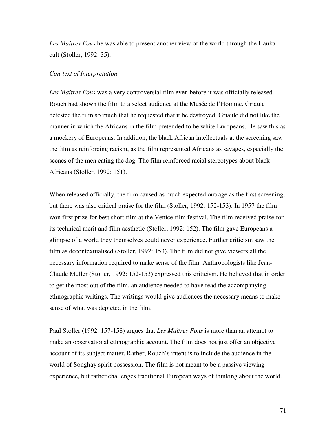*Les Maîtres Fous* he was able to present another view of the world through the Hauka cult (Stoller, 1992: 35).

## *Con-text of Interpretation*

*Les Maîtres Fous* was a very controversial film even before it was officially released. Rouch had shown the film to a select audience at the Musée de l'Homme. Griaule detested the film so much that he requested that it be destroyed. Griaule did not like the manner in which the Africans in the film pretended to be white Europeans. He saw this as a mockery of Europeans. In addition, the black African intellectuals at the screening saw the film as reinforcing racism, as the film represented Africans as savages, especially the scenes of the men eating the dog. The film reinforced racial stereotypes about black Africans (Stoller, 1992: 151).

When released officially, the film caused as much expected outrage as the first screening, but there was also critical praise for the film (Stoller, 1992: 152-153). In 1957 the film won first prize for best short film at the Venice film festival. The film received praise for its technical merit and film aesthetic (Stoller, 1992: 152). The film gave Europeans a glimpse of a world they themselves could never experience. Further criticism saw the film as decontextualised (Stoller, 1992: 153). The film did not give viewers all the necessary information required to make sense of the film. Anthropologists like Jean-Claude Muller (Stoller, 1992: 152-153) expressed this criticism. He believed that in order to get the most out of the film, an audience needed to have read the accompanying ethnographic writings. The writings would give audiences the necessary means to make sense of what was depicted in the film.

Paul Stoller (1992: 157-158) argues that *Les Maîtres Fous* is more than an attempt to make an observational ethnographic account. The film does not just offer an objective account of its subject matter. Rather, Rouch's intent is to include the audience in the world of Songhay spirit possession. The film is not meant to be a passive viewing experience, but rather challenges traditional European ways of thinking about the world.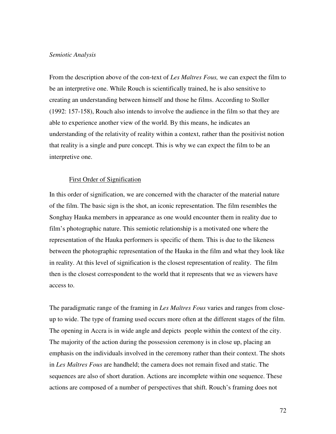#### *Semiotic Analysis*

From the description above of the con-text of *Les Maîtres Fous,* we can expect the film to be an interpretive one. While Rouch is scientifically trained, he is also sensitive to creating an understanding between himself and those he films. According to Stoller (1992: 157-158), Rouch also intends to involve the audience in the film so that they are able to experience another view of the world. By this means, he indicates an understanding of the relativity of reality within a context, rather than the positivist notion that reality is a single and pure concept. This is why we can expect the film to be an interpretive one.

#### First Order of Signification

In this order of signification, we are concerned with the character of the material nature of the film. The basic sign is the shot, an iconic representation. The film resembles the Songhay Hauka members in appearance as one would encounter them in reality due to film's photographic nature. This semiotic relationship is a motivated one where the representation of the Hauka performers is specific of them. This is due to the likeness between the photographic representation of the Hauka in the film and what they look like in reality. At this level of signification is the closest representation of reality. The film then is the closest correspondent to the world that it represents that we as viewers have access to.

The paradigmatic range of the framing in *Les Maîtres Fous* varies and ranges from closeup to wide. The type of framing used occurs more often at the different stages of the film. The opening in Accra is in wide angle and depicts people within the context of the city. The majority of the action during the possession ceremony is in close up, placing an emphasis on the individuals involved in the ceremony rather than their context. The shots in *Les Maîtres Fous* are handheld; the camera does not remain fixed and static. The sequences are also of short duration. Actions are incomplete within one sequence. These actions are composed of a number of perspectives that shift. Rouch's framing does not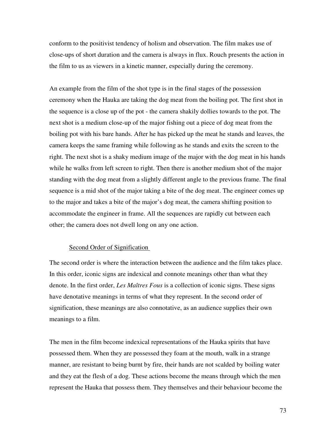conform to the positivist tendency of holism and observation. The film makes use of close-ups of short duration and the camera is always in flux. Rouch presents the action in the film to us as viewers in a kinetic manner, especially during the ceremony.

An example from the film of the shot type is in the final stages of the possession ceremony when the Hauka are taking the dog meat from the boiling pot. The first shot in the sequence is a close up of the pot - the camera shakily dollies towards to the pot. The next shot is a medium close-up of the major fishing out a piece of dog meat from the boiling pot with his bare hands. After he has picked up the meat he stands and leaves, the camera keeps the same framing while following as he stands and exits the screen to the right. The next shot is a shaky medium image of the major with the dog meat in his hands while he walks from left screen to right. Then there is another medium shot of the major standing with the dog meat from a slightly different angle to the previous frame. The final sequence is a mid shot of the major taking a bite of the dog meat. The engineer comes up to the major and takes a bite of the major's dog meat, the camera shifting position to accommodate the engineer in frame. All the sequences are rapidly cut between each other; the camera does not dwell long on any one action.

#### Second Order of Signification

The second order is where the interaction between the audience and the film takes place. In this order, iconic signs are indexical and connote meanings other than what they denote. In the first order, *Les Maîtres Fous* is a collection of iconic signs. These signs have denotative meanings in terms of what they represent. In the second order of signification, these meanings are also connotative, as an audience supplies their own meanings to a film.

The men in the film become indexical representations of the Hauka spirits that have possessed them. When they are possessed they foam at the mouth, walk in a strange manner, are resistant to being burnt by fire, their hands are not scalded by boiling water and they eat the flesh of a dog. These actions become the means through which the men represent the Hauka that possess them. They themselves and their behaviour become the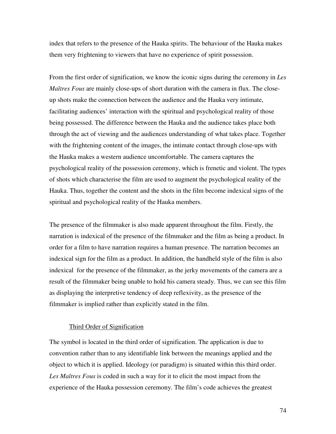index that refers to the presence of the Hauka spirits. The behaviour of the Hauka makes them very frightening to viewers that have no experience of spirit possession.

From the first order of signification, we know the iconic signs during the ceremony in *Les Maîtres Fous* are mainly close-ups of short duration with the camera in flux. The closeup shots make the connection between the audience and the Hauka very intimate, facilitating audiences' interaction with the spiritual and psychological reality of those being possessed. The difference between the Hauka and the audience takes place both through the act of viewing and the audiences understanding of what takes place. Together with the frightening content of the images, the intimate contact through close-ups with the Hauka makes a western audience uncomfortable. The camera captures the psychological reality of the possession ceremony, which is frenetic and violent. The types of shots which characterise the film are used to augment the psychological reality of the Hauka. Thus, together the content and the shots in the film become indexical signs of the spiritual and psychological reality of the Hauka members.

The presence of the filmmaker is also made apparent throughout the film. Firstly, the narration is indexical of the presence of the filmmaker and the film as being a product. In order for a film to have narration requires a human presence. The narration becomes an indexical sign for the film as a product. In addition, the handheld style of the film is also indexical for the presence of the filmmaker, as the jerky movements of the camera are a result of the filmmaker being unable to hold his camera steady. Thus, we can see this film as displaying the interpretive tendency of deep reflexivity, as the presence of the filmmaker is implied rather than explicitly stated in the film.

## Third Order of Signification

The symbol is located in the third order of signification. The application is due to convention rather than to any identifiable link between the meanings applied and the object to which it is applied. Ideology (or paradigm) is situated within this third order. *Les Maîtres Fous* is coded in such a way for it to elicit the most impact from the experience of the Hauka possession ceremony. The film's code achieves the greatest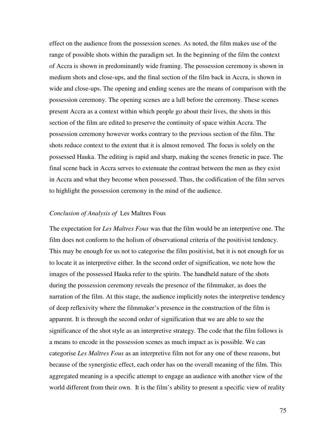effect on the audience from the possession scenes. As noted, the film makes use of the range of possible shots within the paradigm set. In the beginning of the film the context of Accra is shown in predominantly wide framing. The possession ceremony is shown in medium shots and close-ups, and the final section of the film back in Accra, is shown in wide and close-ups. The opening and ending scenes are the means of comparison with the possession ceremony. The opening scenes are a lull before the ceremony. These scenes present Accra as a context within which people go about their lives, the shots in this section of the film are edited to preserve the continuity of space within Accra. The possession ceremony however works contrary to the previous section of the film. The shots reduce context to the extent that it is almost removed. The focus is solely on the possessed Hauka. The editing is rapid and sharp, making the scenes frenetic in pace. The final scene back in Accra serves to extenuate the contrast between the men as they exist in Accra and what they become when possessed. Thus, the codification of the film serves to highlight the possession ceremony in the mind of the audience.

#### *Conclusion of Analysis of* Les Maîtres Fous

The expectation for *Les Maîtres Fous* was that the film would be an interpretive one. The film does not conform to the holism of observational criteria of the positivist tendency. This may be enough for us not to categorise the film positivist, but it is not enough for us to locate it as interpretive either. In the second order of signification, we note how the images of the possessed Hauka refer to the spirits. The handheld nature of the shots during the possession ceremony reveals the presence of the filmmaker, as does the narration of the film. At this stage, the audience implicitly notes the interpretive tendency of deep reflexivity where the filmmaker's presence in the construction of the film is apparent. It is through the second order of signification that we are able to see the significance of the shot style as an interpretive strategy. The code that the film follows is a means to encode in the possession scenes as much impact as is possible. We can categorise *Les Maîtres Fous* as an interpretive film not for any one of these reasons, but because of the synergistic effect, each order has on the overall meaning of the film. This aggregated meaning is a specific attempt to engage an audience with another view of the world different from their own. It is the film's ability to present a specific view of reality

75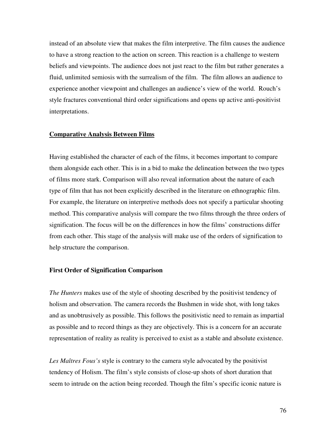instead of an absolute view that makes the film interpretive. The film causes the audience to have a strong reaction to the action on screen. This reaction is a challenge to western beliefs and viewpoints. The audience does not just react to the film but rather generates a fluid, unlimited semiosis with the surrealism of the film. The film allows an audience to experience another viewpoint and challenges an audience's view of the world. Rouch's style fractures conventional third order significations and opens up active anti-positivist interpretations.

#### **Comparative Analysis Between Films**

Having established the character of each of the films, it becomes important to compare them alongside each other. This is in a bid to make the delineation between the two types of films more stark. Comparison will also reveal information about the nature of each type of film that has not been explicitly described in the literature on ethnographic film. For example, the literature on interpretive methods does not specify a particular shooting method. This comparative analysis will compare the two films through the three orders of signification. The focus will be on the differences in how the films' constructions differ from each other. This stage of the analysis will make use of the orders of signification to help structure the comparison.

#### **First Order of Signification Comparison**

*The Hunters* makes use of the style of shooting described by the positivist tendency of holism and observation. The camera records the Bushmen in wide shot, with long takes and as unobtrusively as possible. This follows the positivistic need to remain as impartial as possible and to record things as they are objectively. This is a concern for an accurate representation of reality as reality is perceived to exist as a stable and absolute existence.

*Les Maîtres Fous's* style is contrary to the camera style advocated by the positivist tendency of Holism. The film's style consists of close-up shots of short duration that seem to intrude on the action being recorded. Though the film's specific iconic nature is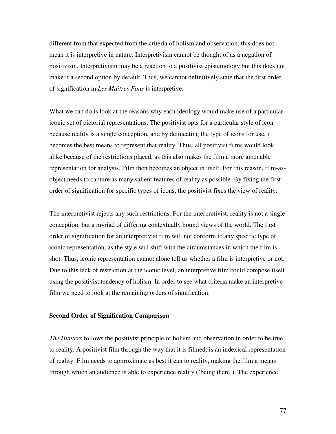different from that expected from the criteria of holism and observation, this does not mean it is interpretive in nature. Interpretivism cannot be thought of as a negation of positivism. Interpretivism may be a reaction to a positivist epistemology but this does not make it a second option by default. Thus, we cannot definitively state that the first order of signification in *Les Maîtres Fous* is interpretive.

What we can do is look at the reasons why each ideology would make use of a particular iconic set of pictorial representations. The positivist opts for a particular style of icon because reality is a single conception, and by delineating the type of icons for use, it becomes the best means to represent that reality. Thus, all positivist films would look alike because of the restrictions placed, as this also makes the film a more amenable representation for analysis. Film then becomes an object in itself. For this reason, film-asobject needs to capture as many salient features of reality as possible. By fixing the first order of signification for specific types of icons, the positivist fixes the view of reality.

The interpretivist rejects any such restrictions. For the interpretivist, reality is not a single conception, but a myriad of differing contextually bound views of the world. The first order of signification for an interpretivist film will not conform to any specific type of iconic representation, as the style will shift with the circumstances in which the film is shot. Thus, iconic representation cannot alone tell us whether a film is interpretive or not. Due to this lack of restriction at the iconic level, an interpretive film could compose itself using the positivist tendency of holism. In order to see what criteria make an interpretive film we need to look at the remaining orders of signification.

#### **Second Order of Signification Comparison**

*The Hunters* follows the positivist principle of holism and observation in order to be true to reality. A positivist film through the way that it is filmed, is an indexical representation of reality. Film needs to approximate as best it can to reality, making the film a means through which an audience is able to experience reality (`being there'). The experience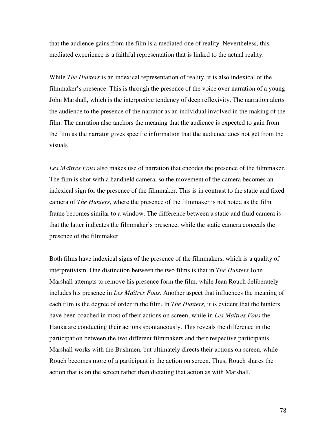that the audience gains from the film is a mediated one of reality. Nevertheless, this mediated experience is a faithful representation that is linked to the actual reality.

While *The Hunters* is an indexical representation of reality, it is also indexical of the filmmaker's presence. This is through the presence of the voice over narration of a young John Marshall, which is the interpretive tendency of deep reflexivity. The narration alerts the audience to the presence of the narrator as an individual involved in the making of the film. The narration also anchors the meaning that the audience is expected to gain from the film as the narrator gives specific information that the audience does not get from the visuals.

*Les Maîtres Fous* also makes use of narration that encodes the presence of the filmmaker. The film is shot with a handheld camera, so the movement of the camera becomes an indexical sign for the presence of the filmmaker. This is in contrast to the static and fixed camera of *The Hunters*, where the presence of the filmmaker is not noted as the film frame becomes similar to a window. The difference between a static and fluid camera is that the latter indicates the filmmaker's presence, while the static camera conceals the presence of the filmmaker.

Both films have indexical signs of the presence of the filmmakers, which is a quality of interpretivism. One distinction between the two films is that in *The Hunters* John Marshall attempts to remove his presence form the film, while Jean Rouch deliberately includes his presence in *Les Maîtres Fous*. Another aspect that influences the meaning of each film is the degree of order in the film. In *The Hunters,* it is evident that the hunters have been coached in most of their actions on screen, while in *Les Maîtres Fous* the Hauka are conducting their actions spontaneously. This reveals the difference in the participation between the two different filmmakers and their respective participants. Marshall works with the Bushmen, but ultimately directs their actions on screen, while Rouch becomes more of a participant in the action on screen. Thus, Rouch shares the action that is on the screen rather than dictating that action as with Marshall.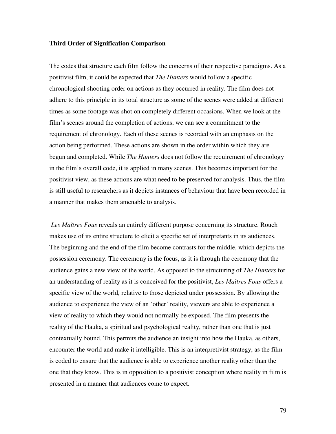#### **Third Order of Signification Comparison**

The codes that structure each film follow the concerns of their respective paradigms. As a positivist film, it could be expected that *The Hunters* would follow a specific chronological shooting order on actions as they occurred in reality. The film does not adhere to this principle in its total structure as some of the scenes were added at different times as some footage was shot on completely different occasions. When we look at the film's scenes around the completion of actions, we can see a commitment to the requirement of chronology. Each of these scenes is recorded with an emphasis on the action being performed. These actions are shown in the order within which they are begun and completed. While *The Hunters* does not follow the requirement of chronology in the film's overall code, it is applied in many scenes. This becomes important for the positivist view, as these actions are what need to be preserved for analysis. Thus, the film is still useful to researchers as it depicts instances of behaviour that have been recorded in a manner that makes them amenable to analysis.

*Les Maîtres Fous* reveals an entirely different purpose concerning its structure. Rouch makes use of its entire structure to elicit a specific set of interpretants in its audiences. The beginning and the end of the film become contrasts for the middle, which depicts the possession ceremony. The ceremony is the focus, as it is through the ceremony that the audience gains a new view of the world. As opposed to the structuring of *The Hunters* for an understanding of reality as it is conceived for the positivist, *Les Maîtres Fous* offers a specific view of the world, relative to those depicted under possession. By allowing the audience to experience the view of an 'other' reality, viewers are able to experience a view of reality to which they would not normally be exposed. The film presents the reality of the Hauka, a spiritual and psychological reality, rather than one that is just contextually bound. This permits the audience an insight into how the Hauka, as others, encounter the world and make it intelligible. This is an interpretivist strategy, as the film is coded to ensure that the audience is able to experience another reality other than the one that they know. This is in opposition to a positivist conception where reality in film is presented in a manner that audiences come to expect.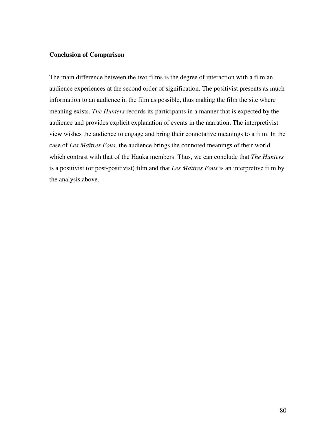### **Conclusion of Comparison**

The main difference between the two films is the degree of interaction with a film an audience experiences at the second order of signification. The positivist presents as much information to an audience in the film as possible, thus making the film the site where meaning exists. *The Hunters* records its participants in a manner that is expected by the audience and provides explicit explanation of events in the narration. The interpretivist view wishes the audience to engage and bring their connotative meanings to a film. In the case of *Les Maîtres Fous,* the audience brings the connoted meanings of their world which contrast with that of the Hauka members. Thus, we can conclude that *The Hunters* is a positivist (or post-positivist) film and that *Les Maîtres Fous* is an interpretive film by the analysis above.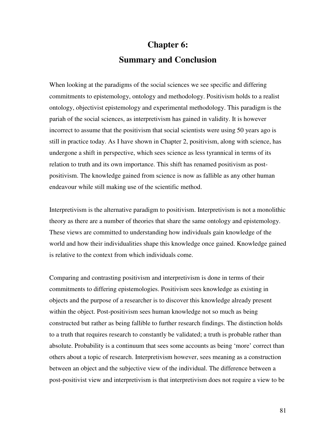# **Chapter 6: Summary and Conclusion**

When looking at the paradigms of the social sciences we see specific and differing commitments to epistemology, ontology and methodology. Positivism holds to a realist ontology, objectivist epistemology and experimental methodology. This paradigm is the pariah of the social sciences, as interpretivism has gained in validity. It is however incorrect to assume that the positivism that social scientists were using 50 years ago is still in practice today. As I have shown in Chapter 2, positivism, along with science, has undergone a shift in perspective, which sees science as less tyrannical in terms of its relation to truth and its own importance. This shift has renamed positivism as postpositivism. The knowledge gained from science is now as fallible as any other human endeavour while still making use of the scientific method.

Interpretivism is the alternative paradigm to positivism. Interpretivism is not a monolithic theory as there are a number of theories that share the same ontology and epistemology. These views are committed to understanding how individuals gain knowledge of the world and how their individualities shape this knowledge once gained. Knowledge gained is relative to the context from which individuals come.

Comparing and contrasting positivism and interpretivism is done in terms of their commitments to differing epistemologies. Positivism sees knowledge as existing in objects and the purpose of a researcher is to discover this knowledge already present within the object. Post-positivism sees human knowledge not so much as being constructed but rather as being fallible to further research findings. The distinction holds to a truth that requires research to constantly be validated; a truth is probable rather than absolute. Probability is a continuum that sees some accounts as being 'more' correct than others about a topic of research. Interpretivism however, sees meaning as a construction between an object and the subjective view of the individual. The difference between a post-positivist view and interpretivism is that interpretivism does not require a view to be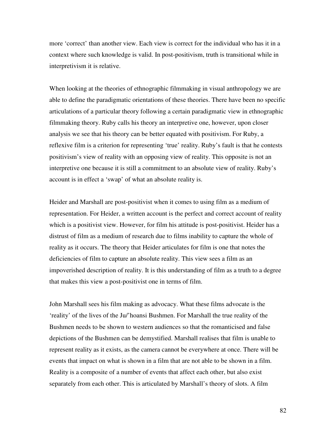more 'correct' than another view. Each view is correct for the individual who has it in a context where such knowledge is valid. In post-positivism, truth is transitional while in interpretivism it is relative.

When looking at the theories of ethnographic filmmaking in visual anthropology we are able to define the paradigmatic orientations of these theories. There have been no specific articulations of a particular theory following a certain paradigmatic view in ethnographic filmmaking theory. Ruby calls his theory an interpretive one, however, upon closer analysis we see that his theory can be better equated with positivism. For Ruby, a reflexive film is a criterion for representing 'true' reality. Ruby's fault is that he contests positivism's view of reality with an opposing view of reality. This opposite is not an interpretive one because it is still a commitment to an absolute view of reality. Ruby's account is in effect a 'swap' of what an absolute reality is.

Heider and Marshall are post-positivist when it comes to using film as a medium of representation. For Heider, a written account is the perfect and correct account of reality which is a positivist view. However, for film his attitude is post-positivist. Heider has a distrust of film as a medium of research due to films inability to capture the whole of reality as it occurs. The theory that Heider articulates for film is one that notes the deficiencies of film to capture an absolute reality. This view sees a film as an impoverished description of reality. It is this understanding of film as a truth to a degree that makes this view a post-positivist one in terms of film.

John Marshall sees his film making as advocacy. What these films advocate is the 'reality' of the lives of the Ju/'hoansi Bushmen. For Marshall the true reality of the Bushmen needs to be shown to western audiences so that the romanticised and false depictions of the Bushmen can be demystified. Marshall realises that film is unable to represent reality as it exists, as the camera cannot be everywhere at once. There will be events that impact on what is shown in a film that are not able to be shown in a film. Reality is a composite of a number of events that affect each other, but also exist separately from each other. This is articulated by Marshall's theory of slots. A film

82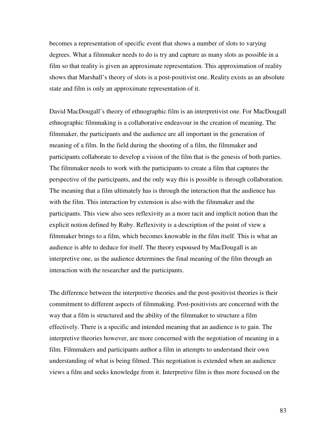becomes a representation of specific event that shows a number of slots to varying degrees. What a filmmaker needs to do is try and capture as many slots as possible in a film so that reality is given an approximate representation. This approximation of reality shows that Marshall's theory of slots is a post-positivist one. Reality exists as an absolute state and film is only an approximate representation of it.

David MacDougall's theory of ethnographic film is an interpretivist one. For MacDougall ethnographic filmmaking is a collaborative endeavour in the creation of meaning. The filmmaker, the participants and the audience are all important in the generation of meaning of a film. In the field during the shooting of a film, the filmmaker and participants collaborate to develop a vision of the film that is the genesis of both parties. The filmmaker needs to work with the participants to create a film that captures the perspective of the participants, and the only way this is possible is through collaboration. The meaning that a film ultimately has is through the interaction that the audience has with the film. This interaction by extension is also with the filmmaker and the participants. This view also sees reflexivity as a more tacit and implicit notion than the explicit notion defined by Ruby. Reflexivity is a description of the point of view a filmmaker brings to a film, which becomes knowable in the film itself. This is what an audience is able to deduce for itself. The theory espoused by MacDougall is an interpretive one, as the audience determines the final meaning of the film through an interaction with the researcher and the participants.

The difference between the interpretive theories and the post-positivist theories is their commitment to different aspects of filmmaking. Post-positivists are concerned with the way that a film is structured and the ability of the filmmaker to structure a film effectively. There is a specific and intended meaning that an audience is to gain. The interpretive theories however, are more concerned with the negotiation of meaning in a film. Filmmakers and participants author a film in attempts to understand their own understanding of what is being filmed. This negotiation is extended when an audience views a film and seeks knowledge from it. Interpretive film is thus more focused on the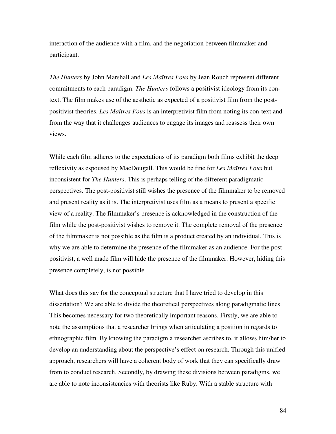interaction of the audience with a film, and the negotiation between filmmaker and participant.

*The Hunters* by John Marshall and *Les Maîtres Fous* by Jean Rouch represent different commitments to each paradigm. *The Hunters* follows a positivist ideology from its context. The film makes use of the aesthetic as expected of a positivist film from the postpositivist theories. *Les Maîtres Fous* is an interpretivist film from noting its con-text and from the way that it challenges audiences to engage its images and reassess their own views.

While each film adheres to the expectations of its paradigm both films exhibit the deep reflexivity as espoused by MacDougall. This would be fine for *Les Maîtres Fous* but inconsistent for *The Hunters*. This is perhaps telling of the different paradigmatic perspectives. The post-positivist still wishes the presence of the filmmaker to be removed and present reality as it is. The interpretivist uses film as a means to present a specific view of a reality. The filmmaker's presence is acknowledged in the construction of the film while the post-positivist wishes to remove it. The complete removal of the presence of the filmmaker is not possible as the film is a product created by an individual. This is why we are able to determine the presence of the filmmaker as an audience. For the postpositivist, a well made film will hide the presence of the filmmaker. However, hiding this presence completely, is not possible.

What does this say for the conceptual structure that I have tried to develop in this dissertation? We are able to divide the theoretical perspectives along paradigmatic lines. This becomes necessary for two theoretically important reasons. Firstly, we are able to note the assumptions that a researcher brings when articulating a position in regards to ethnographic film. By knowing the paradigm a researcher ascribes to, it allows him/her to develop an understanding about the perspective's effect on research. Through this unified approach, researchers will have a coherent body of work that they can specifically draw from to conduct research. Secondly, by drawing these divisions between paradigms, we are able to note inconsistencies with theorists like Ruby. With a stable structure with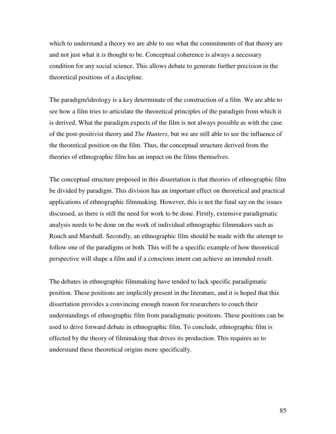which to understand a theory we are able to see what the commitments of that theory are and not just what it is thought to be. Conceptual coherence is always a necessary condition for any social science. This allows debate to generate further precision in the theoretical positions of a discipline.

The paradigm/ideology is a key determinate of the construction of a film. We are able to see how a film tries to articulate the theoretical principles of the paradigm from which it is derived. What the paradigm expects of the film is not always possible as with the case of the post-positivist theory and *The Hunters*, but we are still able to see the influence of the theoretical position on the film. Thus, the conceptual structure derived from the theories of ethnographic film has an impact on the films themselves.

The conceptual structure proposed in this dissertation is that theories of ethnographic film be divided by paradigm. This division has an important effect on theoretical and practical applications of ethnographic filmmaking. However, this is not the final say on the issues discussed, as there is still the need for work to be done. Firstly, extensive paradigmatic analysis needs to be done on the work of individual ethnographic filmmakers such as Rouch and Marshall. Secondly, an ethnographic film should be made with the attempt to follow one of the paradigms or both. This will be a specific example of how theoretical perspective will shape a film and if a conscious intent can achieve an intended result.

The debates in ethnographic filmmaking have tended to lack specific paradigmatic position. These positions are implicitly present in the literature, and it is hoped that this dissertation provides a convincing enough reason for researchers to couch their understandings of ethnographic film from paradigmatic positions. These positions can be used to drive forward debate in ethnographic film. To conclude, ethnographic film is effected by the theory of filmmaking that drives its production. This requires us to understand these theoretical origins more specifically.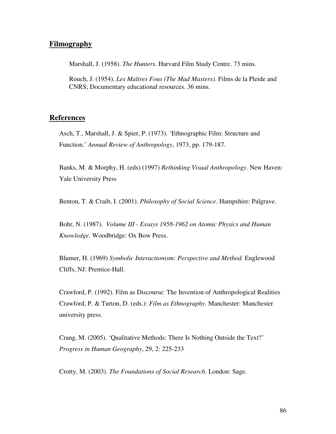# **Filmography**

Marshall, J. (1958). *The Hunters*. Harvard Film Study Centre. 73 mins.

Rouch, J. (1954). *Les Maîtres Fous (The Mad Masters)*. Films de la Pleide and CNRS; Documentary educational resources. 36 mins.

#### **References**

Asch, T., Marshall, J. & Spier, P. (1973). 'Ethnographic Film: Structure and Function.' *Annual Review of Anthropology*, 1973, pp. 179-187.

Banks, M. & Morphy, H. (eds) (1997) *Rethinking Visual Anthropology*. New Haven: Yale University Press

Benton, T. & Craib, I. (2001). *Philosophy of Social Science*. Hampshire: Palgrave.

Bohr, N. (1987). *Volume III - Essays 1958-1962 on Atomic Physics and Human Knowledge*. Woodbridge: Ox Bow Press.

Blumer, H. (1969) *Symbolic Interactionism: Perspective and Method.* Englewood Cliffs, NJ: Prentice-Hall.

Crawford, P. (1992). Film as Discourse: The Invention of Anthropological Realities Crawford, P. & Turton, D. (eds.): *Film as Ethnography*. Manchester: Manchester university press.

Crang, M. (2005). 'Qualitative Methods: There Is Nothing Outside the Text?' *Progress in Human Geography*, 29, 2: 225-233

Crotty, M. (2003). *The Foundations of Social Research*. London: Sage.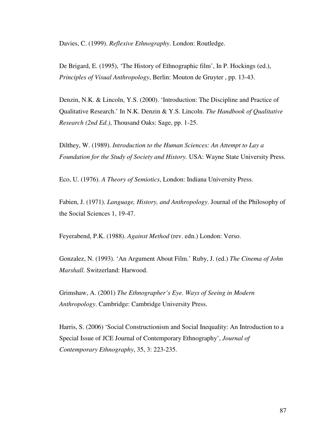Davies, C. (1999). *Reflexive Ethnography*. London: Routledge.

De Brigard, E. (1995), 'The History of Ethnographic film', In P. Hockings (ed.), *Principles of Visual Anthropology*, Berlin: Mouton de Gruyter , pp. 13-43.

Denzin, N.K. & Lincoln, Y.S. (2000). 'Introduction: The Discipline and Practice of Qualitative Research.' In N.K. Denzin & Y.S. Lincoln. *The Handbook of Qualitative Research (2nd Ed.)*, Thousand Oaks: Sage, pp. 1-25.

Dilthey, W. (1989). *Introduction to the Human Sciences: An Attempt to Lay a Foundation for the Study of Society and History.* USA: Wayne State University Press.

Eco, U. (1976). *A Theory of Semiotics*, London: Indiana University Press.

Fabien, J. (1971). *Language, History, and Anthropology*. Journal of the Philosophy of the Social Sciences 1, 19-47.

Feyerabend, P.K. (1988). *Against Method* (rev. edn.) London: Verso.

Gonzalez, N. (1993). 'An Argument About Film.' Ruby, J. (ed.) *The Cinema of John Marshall*. Switzerland: Harwood.

Grimshaw, A. (2001) *The Ethnographer's Eye. Ways of Seeing in Modern Anthropology*. Cambridge: Cambridge University Press.

Harris, S. (2006) 'Social Constructionism and Social Inequality: An Introduction to a Special Issue of JCE Journal of Contemporary Ethnography', *Journal of Contemporary Ethnography*, 35, 3: 223-235.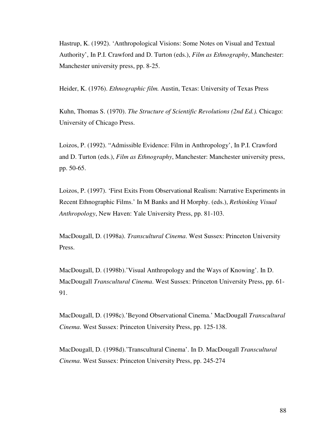Hastrup, K. (1992). 'Anthropological Visions: Some Notes on Visual and Textual Authority', In P.I. Crawford and D. Turton (eds.), *Film as Ethnography*, Manchester: Manchester university press, pp. 8-25.

Heider, K. (1976). *Ethnographic film.* Austin, Texas: University of Texas Press

Kuhn, Thomas S. (1970). *The Structure of Scientific Revolutions (2nd Ed.).* Chicago: University of Chicago Press.

Loizos, P. (1992). "Admissible Evidence: Film in Anthropology', In P.I. Crawford and D. Turton (eds.), *Film as Ethnography*, Manchester: Manchester university press, pp. 50-65.

Loizos, P. (1997). 'First Exits From Observational Realism: Narrative Experiments in Recent Ethnographic Films.' In M Banks and H Morphy. (eds.), *Rethinking Visual Anthropology*, New Haven: Yale University Press, pp. 81-103.

MacDougall, D. (1998a). *Transcultural Cinema*. West Sussex: Princeton University Press.

MacDougall, D. (1998b).'Visual Anthropology and the Ways of Knowing'. In D. MacDougall *Transcultural Cinema*. West Sussex: Princeton University Press, pp. 61- 91.

MacDougall, D. (1998c).'Beyond Observational Cinema.' MacDougall *Transcultural Cinema*. West Sussex: Princeton University Press, pp. 125-138.

MacDougall, D. (1998d).'Transcultural Cinema'. In D. MacDougall *Transcultural Cinema*. West Sussex: Princeton University Press, pp. 245-274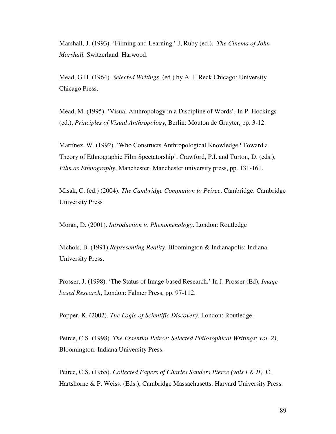Marshall, J. (1993). 'Filming and Learning.' J, Ruby (ed.). *The Cinema of John Marshall.* Switzerland: Harwood.

Mead, G.H. (1964). *Selected Writings*. (ed.) by A. J. Reck.Chicago: University Chicago Press.

Mead, M. (1995). 'Visual Anthropology in a Discipline of Words', In P. Hockings (ed.), *Principles of Visual Anthropology*, Berlin: Mouton de Gruyter, pp. 3-12.

Martínez, W. (1992). 'Who Constructs Anthropological Knowledge? Toward a Theory of Ethnographic Film Spectatorship', Crawford, P.I. and Turton, D. (eds.), *Film as Ethnography*, Manchester: Manchester university press, pp. 131-161.

Misak, C. (ed.) (2004). *The Cambridge Companion to Peirce*. Cambridge: Cambridge University Press

Moran, D. (2001). *Introduction to Phenomenology*. London: Routledge

Nichols, B. (1991) *Representing Reality*. Bloomington & Indianapolis: Indiana University Press.

Prosser, J. (1998). 'The Status of Image-based Research.' In J. Prosser (Ed), *Imagebased Research*, London: Falmer Press, pp. 97-112.

Popper, K. (2002). *The Logic of Scientific Discovery*. London: Routledge.

Peirce, C.S. (1998). *The Essential Peirce: Selected Philosophical Writings( vol. 2)*, Bloomington: Indiana University Press.

Peirce, C.S. (1965). *Collected Papers of Charles Sanders Pierce (vols I & II).* C. Hartshorne & P. Weiss. (Eds.), Cambridge Massachusetts: Harvard University Press.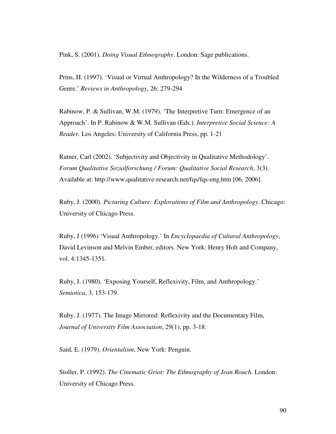Pink, S. (2001). *Doing Visual Ethnography*. London: Sage publications.

Prins, H. (1997). 'Visual or Virtual Anthropology? In the Wilderness of a Troubled Genre.' *Reviews in Anthropology*, 26: 279-294

Rabinow, P. & Sullivan, W.M. (1979). 'The Interpretive Turn: Emergence of an Approach'. In P. Rabinow & W.M. Sullivan (Eds.). *Interpretive Social Science: A Reader.* Los Angeles: University of California Press, pp. 1-21

Ratner, Carl (2002). 'Subjectivity and Objectivity in Qualitative Methodology'. *Forum Qualitative Sozialforschung / Forum: Qualitative Social Research*, 3(3). Available at: http://www.qualitative-research.net/fqs/fqs-eng.htm [06, 2006].

Ruby, J. (2000). *Picturing Culture: Explorations of Film and Anthropology*. Chicago: University of Chicago Press.

Ruby, J (1996) 'Visual Anthropology.' In *Encyclopaedia of Cultural Anthropology*, David Levinson and Melvin Ember, editors. New York: Henry Holt and Company, vol. 4:1345-1351.

Ruby, J. (1980). 'Exposing Yourself, Reflexivity, Film, and Anthropology.' *Semiotica*, 3, 153-179.

Ruby, J. (1977). The Image Mirrored: Reflexivity and the Documentary Film, *Journal of University Film Association*, 29(1), pp. 3-18.

Said, E. (1979). *Orientalism*, New York: Penguin.

Stoller, P. (1992). *The Cinematic Griot: The Ethnography of Jean Rouch*. London: University of Chicago Press.